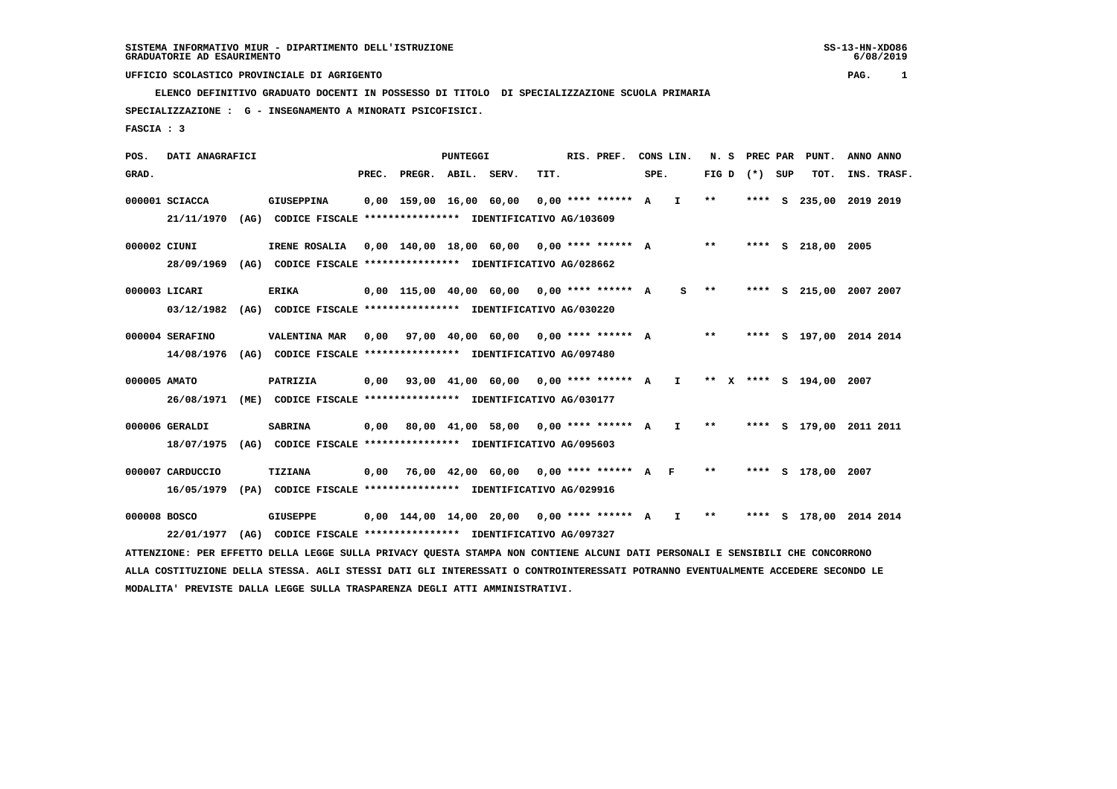**ELENCO DEFINITIVO GRADUATO DOCENTI IN POSSESSO DI TITOLO DI SPECIALIZZAZIONE SCUOLA PRIMARIA**

 **SPECIALIZZAZIONE : G - INSEGNAMENTO A MINORATI PSICOFISICI.**

 **FASCIA : 3**

 **POS. DATI ANAGRAFICI PUNTEGGI RIS. PREF. CONS LIN. N. S PREC PAR PUNT. ANNO ANNO**GRAD. **BRAD. PREC. PREGR. ABIL. SERV. TIT.** SPE. FIG D (\*) SUP TOT. INS. TRASF.  **000001 SCIACCA GIUSEPPINA 0,00 159,00 16,00 60,00 0,00 \*\*\*\* \*\*\*\*\*\* A I \*\* \*\*\*\* S 235,00 2019 2019 21/11/1970 (AG) CODICE FISCALE \*\*\*\*\*\*\*\*\*\*\*\*\*\*\*\* IDENTIFICATIVO AG/103609 000002 CIUNI IRENE ROSALIA 0,00 140,00 18,00 60,00 0,00 \*\*\*\* \*\*\*\*\*\* A \*\* \*\*\*\* S 218,00 2005 28/09/1969 (AG) CODICE FISCALE \*\*\*\*\*\*\*\*\*\*\*\*\*\*\*\* IDENTIFICATIVO AG/028662 000003 LICARI ERIKA 0,00 115,00 40,00 60,00 0,00 \*\*\*\* \*\*\*\*\*\* A S \*\* \*\*\*\* S 215,00 2007 2007 03/12/1982 (AG) CODICE FISCALE \*\*\*\*\*\*\*\*\*\*\*\*\*\*\*\* IDENTIFICATIVO AG/030220 000004 SERAFINO VALENTINA MAR 0,00 97,00 40,00 60,00 0,00 \*\*\*\* \*\*\*\*\*\* A \*\* \*\*\*\* S 197,00 2014 2014 14/08/1976 (AG) CODICE FISCALE \*\*\*\*\*\*\*\*\*\*\*\*\*\*\*\* IDENTIFICATIVO AG/097480**

- **000005 AMATO PATRIZIA 0,00 93,00 41,00 60,00 0,00 \*\*\*\* \*\*\*\*\*\* A I \*\* X \*\*\*\* S 194,00 2007 26/08/1971 (ME) CODICE FISCALE \*\*\*\*\*\*\*\*\*\*\*\*\*\*\*\* IDENTIFICATIVO AG/030177**
- **000006 GERALDI SABRINA 0,00 80,00 41,00 58,00 0,00 \*\*\*\* \*\*\*\*\*\* A I \*\* \*\*\*\* S 179,00 2011 2011 18/07/1975 (AG) CODICE FISCALE \*\*\*\*\*\*\*\*\*\*\*\*\*\*\*\* IDENTIFICATIVO AG/095603**
- **000007 CARDUCCIO TIZIANA 0,00 76,00 42,00 60,00 0,00 \*\*\*\* \*\*\*\*\*\* A F \*\* \*\*\*\* S 178,00 2007 16/05/1979 (PA) CODICE FISCALE \*\*\*\*\*\*\*\*\*\*\*\*\*\*\*\* IDENTIFICATIVO AG/029916**

 **000008 BOSCO GIUSEPPE 0,00 144,00 14,00 20,00 0,00 \*\*\*\* \*\*\*\*\*\* A I \*\* \*\*\*\* S 178,00 2014 2014 22/01/1977 (AG) CODICE FISCALE \*\*\*\*\*\*\*\*\*\*\*\*\*\*\*\* IDENTIFICATIVO AG/097327**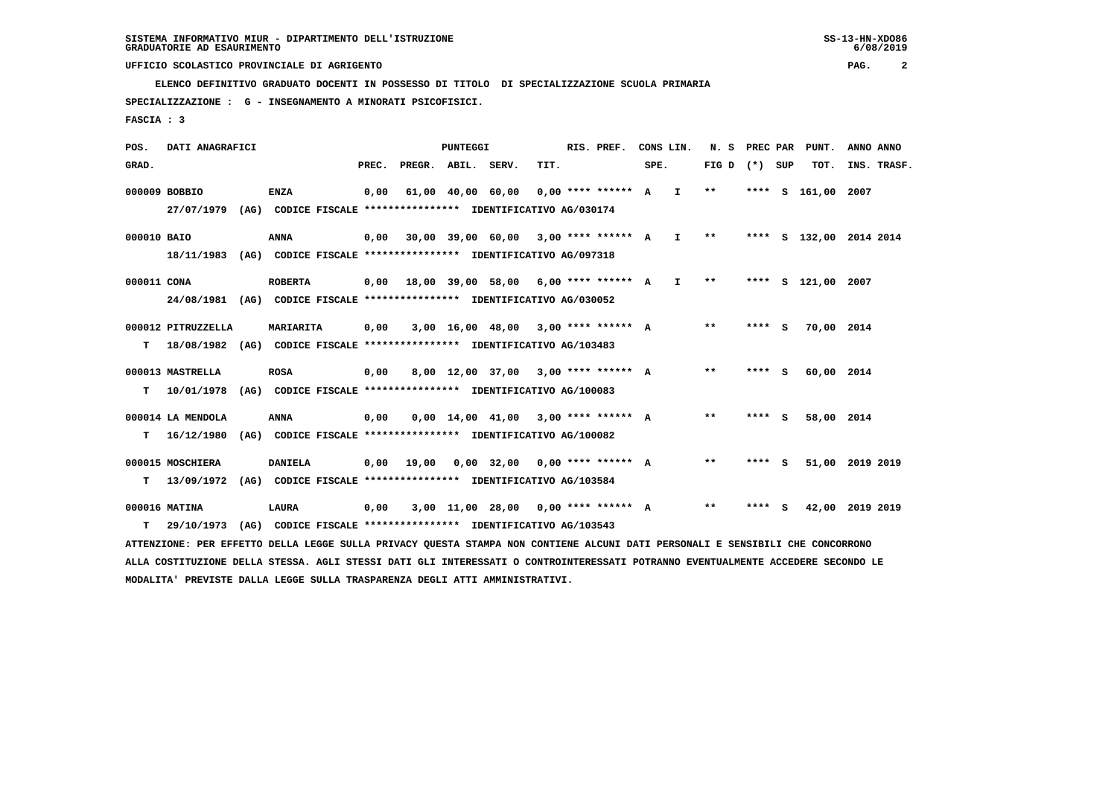**ELENCO DEFINITIVO GRADUATO DOCENTI IN POSSESSO DI TITOLO DI SPECIALIZZAZIONE SCUOLA PRIMARIA**

 **SPECIALIZZAZIONE : G - INSEGNAMENTO A MINORATI PSICOFISICI.**

 **FASCIA : 3**

 **POS. DATI ANAGRAFICI PUNTEGGI RIS. PREF. CONS LIN. N. S PREC PAR PUNT. ANNO ANNO**GRAD. **PREGRADE SERVEGE SERVE SERVE SPEREGE SPEREGALES SPEREGALES SPEREGALES SPEREGALES SPEREGALES SUP TOT. INS. TRASF. 000009 BOBBIO ENZA 0,00 61,00 40,00 60,00 0,00 \*\*\*\* \*\*\*\*\*\* A I \*\* \*\*\*\* S 161,00 2007 27/07/1979 (AG) CODICE FISCALE \*\*\*\*\*\*\*\*\*\*\*\*\*\*\*\* IDENTIFICATIVO AG/030174 000010 BAIO ANNA 0,00 30,00 39,00 60,00 3,00 \*\*\*\* \*\*\*\*\*\* A I \*\* \*\*\*\* S 132,00 2014 2014 18/11/1983 (AG) CODICE FISCALE \*\*\*\*\*\*\*\*\*\*\*\*\*\*\*\* IDENTIFICATIVO AG/097318 000011 CONA ROBERTA 0,00 18,00 39,00 58,00 6,00 \*\*\*\* \*\*\*\*\*\* A I \*\* \*\*\*\* S 121,00 2007 24/08/1981 (AG) CODICE FISCALE \*\*\*\*\*\*\*\*\*\*\*\*\*\*\*\* IDENTIFICATIVO AG/030052 000012 PITRUZZELLA MARIARITA 0,00 3,00 16,00 48,00 3,00 \*\*\*\* \*\*\*\*\*\* A \*\* \*\*\*\* S 70,00 2014 T 18/08/1982 (AG) CODICE FISCALE \*\*\*\*\*\*\*\*\*\*\*\*\*\*\*\* IDENTIFICATIVO AG/103483 000013 MASTRELLA ROSA 0,00 8,00 12,00 37,00 3,00 \*\*\*\* \*\*\*\*\*\* A \*\* \*\*\*\* S 60,00 2014 T 10/01/1978 (AG) CODICE FISCALE \*\*\*\*\*\*\*\*\*\*\*\*\*\*\*\* IDENTIFICATIVO AG/100083 000014 LA MENDOLA ANNA 0,00 0,00 14,00 41,00 3,00 \*\*\*\* \*\*\*\*\*\* A \*\* \*\*\*\* S 58,00 2014 T 16/12/1980 (AG) CODICE FISCALE \*\*\*\*\*\*\*\*\*\*\*\*\*\*\*\* IDENTIFICATIVO AG/100082 000015 MOSCHIERA DANIELA 0,00 19,00 0,00 32,00 0,00 \*\*\*\* \*\*\*\*\*\* A \*\* \*\*\*\* S 51,00 2019 2019 T 13/09/1972 (AG) CODICE FISCALE \*\*\*\*\*\*\*\*\*\*\*\*\*\*\*\* IDENTIFICATIVO AG/103584 000016 MATINA LAURA 0,00 3,00 11,00 28,00 0,00 \*\*\*\* \*\*\*\*\*\* A \*\* \*\*\*\* S 42,00 2019 2019 T 29/10/1973 (AG) CODICE FISCALE \*\*\*\*\*\*\*\*\*\*\*\*\*\*\*\* IDENTIFICATIVO AG/103543 ATTENZIONE: PER EFFETTO DELLA LEGGE SULLA PRIVACY QUESTA STAMPA NON CONTIENE ALCUNI DATI PERSONALI E SENSIBILI CHE CONCORRONO ALLA COSTITUZIONE DELLA STESSA. AGLI STESSI DATI GLI INTERESSATI O CONTROINTERESSATI POTRANNO EVENTUALMENTE ACCEDERE SECONDO LE**

 **MODALITA' PREVISTE DALLA LEGGE SULLA TRASPARENZA DEGLI ATTI AMMINISTRATIVI.**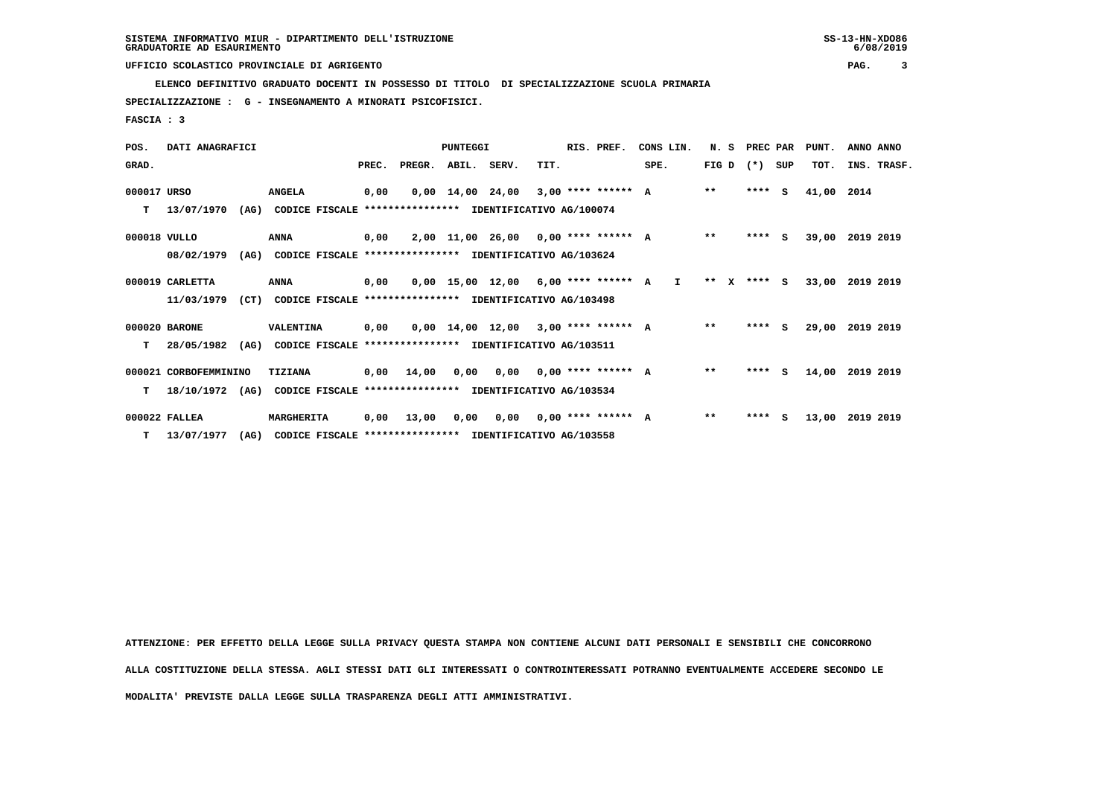**ELENCO DEFINITIVO GRADUATO DOCENTI IN POSSESSO DI TITOLO DI SPECIALIZZAZIONE SCUOLA PRIMARIA**

 **SPECIALIZZAZIONE : G - INSEGNAMENTO A MINORATI PSICOFISICI.**

 **FASCIA : 3**

| POS.         | DATI ANAGRAFICI       |      |                                                          |      |                                           | PUNTEGGI |                                       |      | RIS. PREF. | CONS LIN.    | N. S PREC PAR   |         |   | PUNT. | ANNO ANNO       |
|--------------|-----------------------|------|----------------------------------------------------------|------|-------------------------------------------|----------|---------------------------------------|------|------------|--------------|-----------------|---------|---|-------|-----------------|
| GRAD.        |                       |      |                                                          |      | PREC. PREGR. ABIL. SERV.                  |          |                                       | TIT. |            | SPE.         | FIG D $(*)$ SUP |         |   | TOT.  | INS. TRASF.     |
| 000017 URSO  |                       |      | <b>ANGELA</b>                                            | 0,00 |                                           |          | $0.00$ 14.00 24.00 3.00 **** ****** A |      |            |              | $***$           | $***$ S |   | 41,00 | 2014            |
| т            | 13/07/1970            | (AG) | CODICE FISCALE                                           |      | **************** IDENTIFICATIVO AG/100074 |          |                                       |      |            |              |                 |         |   |       |                 |
| 000018 VULLO |                       |      | <b>ANNA</b>                                              | 0,00 |                                           |          | $2,00$ 11,00 26,00 0,00 **** ****** A |      |            |              | $**$            | $***$ S |   |       | 39,00 2019 2019 |
|              | 08/02/1979            | (AG) | CODICE FISCALE **************** IDENTIFICATIVO AG/103624 |      |                                           |          |                                       |      |            |              |                 |         |   |       |                 |
|              | 000019 CARLETTA       |      | <b>ANNA</b>                                              | 0,00 |                                           |          | $0,00$ 15,00 12,00 6,00 **** ****** A |      |            | $\mathbf{I}$ | $***$ X         | **** S  |   | 33,00 | 2019 2019       |
|              | 11/03/1979            | (CT) | CODICE FISCALE **************** IDENTIFICATIVO AG/103498 |      |                                           |          |                                       |      |            |              |                 |         |   |       |                 |
|              | 000020 BARONE         |      | VALENTINA                                                | 0,00 |                                           |          | $0.00$ 14.00 12.00 3.00 **** ****** A |      |            |              | $* *$           | $***$ S |   | 29,00 | 2019 2019       |
| т            | 28/05/1982            | (AG) | CODICE FISCALE **************** IDENTIFICATIVO AG/103511 |      |                                           |          |                                       |      |            |              |                 |         |   |       |                 |
|              | 000021 CORBOFEMMININO |      | TIZIANA                                                  |      | $0,00$ 14,00                              |          | $0,00$ $0,00$ $0,00$ **** ****** A    |      |            |              | $* *$           | $***5$  |   | 14,00 | 2019 2019       |
| т            | 18/10/1972            | (AG) | CODICE FISCALE                                           |      | **************** IDENTIFICATIVO AG/103534 |          |                                       |      |            |              |                 |         |   |       |                 |
|              | 000022 FALLEA         |      | MARGHERITA                                               | 0.00 | 13,00                                     | 0,00     | 0,00 0,00 **** ****** A               |      |            |              | $***$           | ****    | s |       | 13,00 2019 2019 |
|              | $T = 13/07/1977$      | (AG) | CODICE FISCALE **************** IDENTIFICATIVO AG/103558 |      |                                           |          |                                       |      |            |              |                 |         |   |       |                 |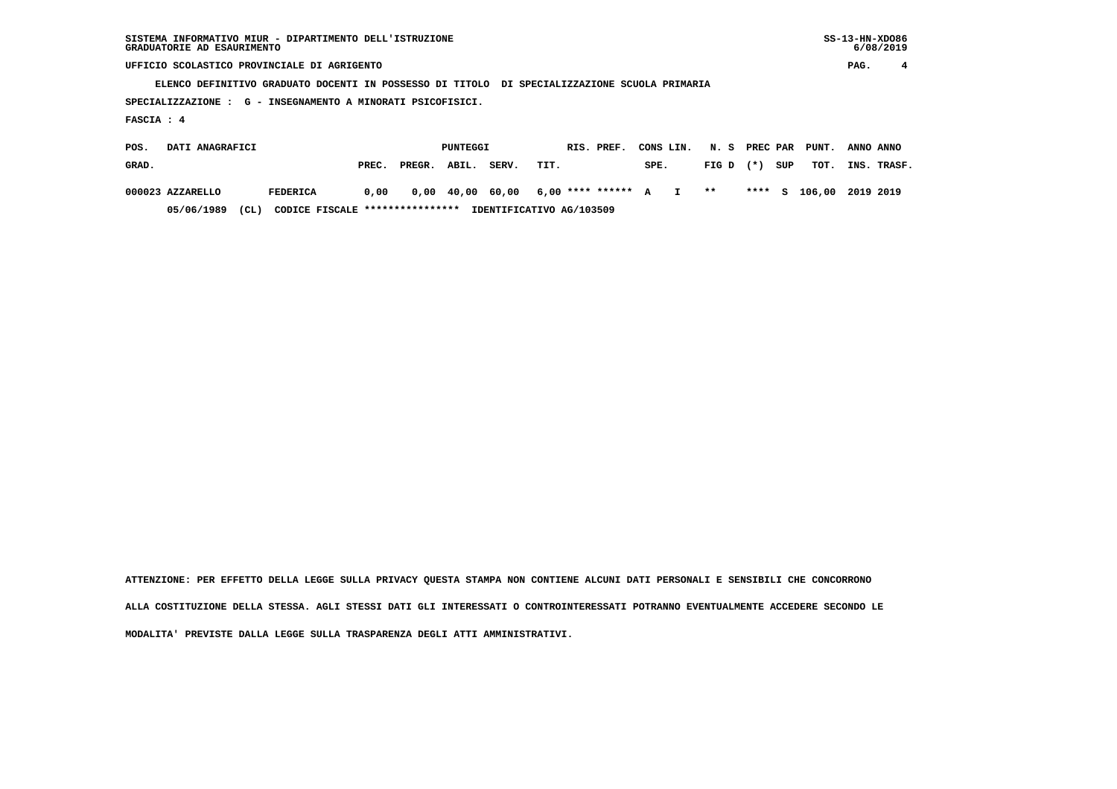**ELENCO DEFINITIVO GRADUATO DOCENTI IN POSSESSO DI TITOLO DI SPECIALIZZAZIONE SCUOLA PRIMARIA**

 **SPECIALIZZAZIONE : G - INSEGNAMENTO A MINORATI PSICOFISICI.**

 **FASCIA : 4**

| POS.  | DATI ANAGRAFICI  |      |                                 |       |              | PUNTEGGI |       | RIS. PREF.                               | CONS LIN. N. S PREC PAR PUNT. |             |     |                         | ANNO ANNO |             |
|-------|------------------|------|---------------------------------|-------|--------------|----------|-------|------------------------------------------|-------------------------------|-------------|-----|-------------------------|-----------|-------------|
| GRAD. |                  |      |                                 | PREC. | PREGR. ABIL. |          | SERV. | TIT.                                     | SPE.                          | $FIG D (*)$ | SUP | тот.                    |           | INS. TRASF. |
|       | 000023 AZZARELLO |      | FEDERICA                        | 0.00  |              |          |       | 0,00 40,00 60,00 6,00 **** ****** A I ** |                               |             |     | **** S 106,00 2019 2019 |           |             |
|       | 05/06/1989       | (CL) | CODICE FISCALE **************** |       |              |          |       | IDENTIFICATIVO AG/103509                 |                               |             |     |                         |           |             |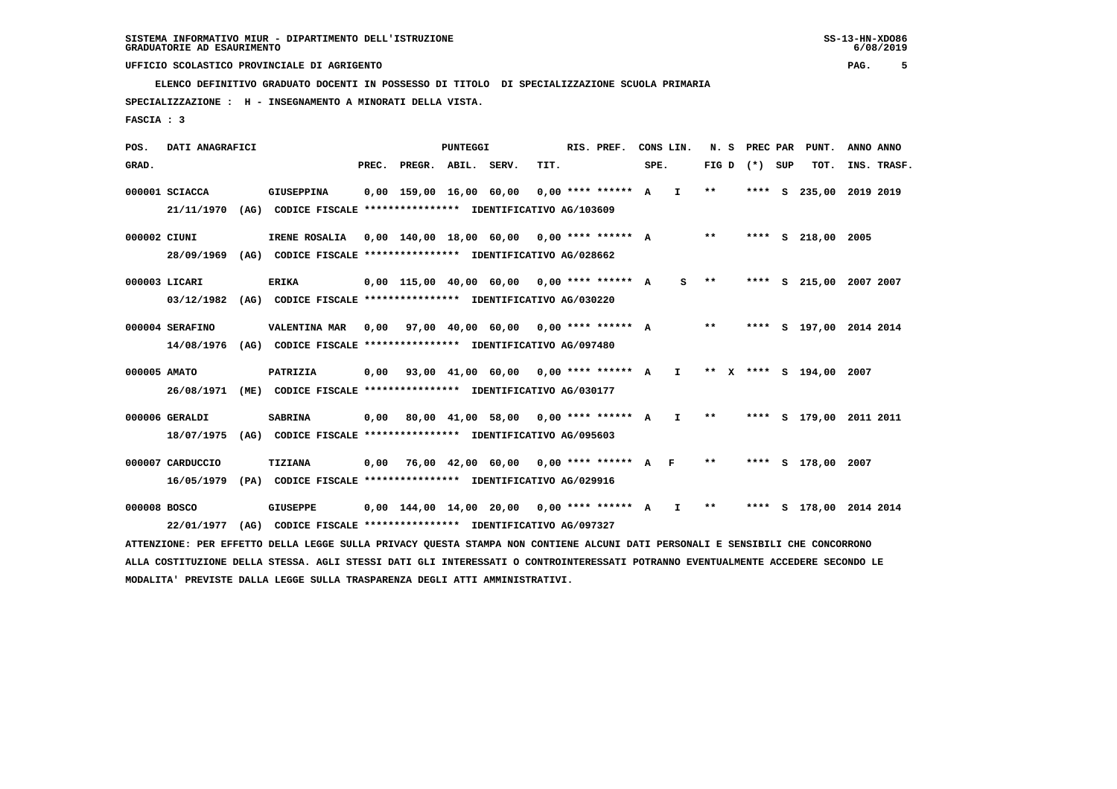**ELENCO DEFINITIVO GRADUATO DOCENTI IN POSSESSO DI TITOLO DI SPECIALIZZAZIONE SCUOLA PRIMARIA**

 **SPECIALIZZAZIONE : H - INSEGNAMENTO A MINORATI DELLA VISTA.**

 **FASCIA : 3**

 **POS. DATI ANAGRAFICI PUNTEGGI RIS. PREF. CONS LIN. N. S PREC PAR PUNT. ANNO ANNO**GRAD. **PREGRADE SERVEGE SERVE SERVE SPEREGE SPEREGALES SPEREGALES SPEREGALES SPEREGALES SPEREGALES SUP TOT. INS. TRASF. 000001 SCIACCA GIUSEPPINA 0,00 159,00 16,00 60,00 0,00 \*\*\*\* \*\*\*\*\*\* A I \*\* \*\*\*\* S 235,00 2019 2019 21/11/1970 (AG) CODICE FISCALE \*\*\*\*\*\*\*\*\*\*\*\*\*\*\*\* IDENTIFICATIVO AG/103609 000002 CIUNI IRENE ROSALIA 0,00 140,00 18,00 60,00 0,00 \*\*\*\* \*\*\*\*\*\* A \*\* \*\*\*\* S 218,00 2005 28/09/1969 (AG) CODICE FISCALE \*\*\*\*\*\*\*\*\*\*\*\*\*\*\*\* IDENTIFICATIVO AG/028662 000003 LICARI ERIKA 0,00 115,00 40,00 60,00 0,00 \*\*\*\* \*\*\*\*\*\* A S \*\* \*\*\*\* S 215,00 2007 2007 03/12/1982 (AG) CODICE FISCALE \*\*\*\*\*\*\*\*\*\*\*\*\*\*\*\* IDENTIFICATIVO AG/030220 000004 SERAFINO VALENTINA MAR 0,00 97,00 40,00 60,00 0,00 \*\*\*\* \*\*\*\*\*\* A \*\* \*\*\*\* S 197,00 2014 2014 14/08/1976 (AG) CODICE FISCALE \*\*\*\*\*\*\*\*\*\*\*\*\*\*\*\* IDENTIFICATIVO AG/097480 000005 AMATO PATRIZIA 0,00 93,00 41,00 60,00 0,00 \*\*\*\* \*\*\*\*\*\* A I \*\* X \*\*\*\* S 194,00 2007 26/08/1971 (ME) CODICE FISCALE \*\*\*\*\*\*\*\*\*\*\*\*\*\*\*\* IDENTIFICATIVO AG/030177 000006 GERALDI SABRINA 0,00 80,00 41,00 58,00 0,00 \*\*\*\* \*\*\*\*\*\* A I \*\* \*\*\*\* S 179,00 2011 2011 18/07/1975 (AG) CODICE FISCALE \*\*\*\*\*\*\*\*\*\*\*\*\*\*\*\* IDENTIFICATIVO AG/095603 000007 CARDUCCIO TIZIANA 0,00 76,00 42,00 60,00 0,00 \*\*\*\* \*\*\*\*\*\* A F \*\* \*\*\*\* S 178,00 2007 16/05/1979 (PA) CODICE FISCALE \*\*\*\*\*\*\*\*\*\*\*\*\*\*\*\* IDENTIFICATIVO AG/029916 000008 BOSCO GIUSEPPE 0,00 144,00 14,00 20,00 0,00 \*\*\*\* \*\*\*\*\*\* A I \*\* \*\*\*\* S 178,00 2014 2014 22/01/1977 (AG) CODICE FISCALE \*\*\*\*\*\*\*\*\*\*\*\*\*\*\*\* IDENTIFICATIVO AG/097327**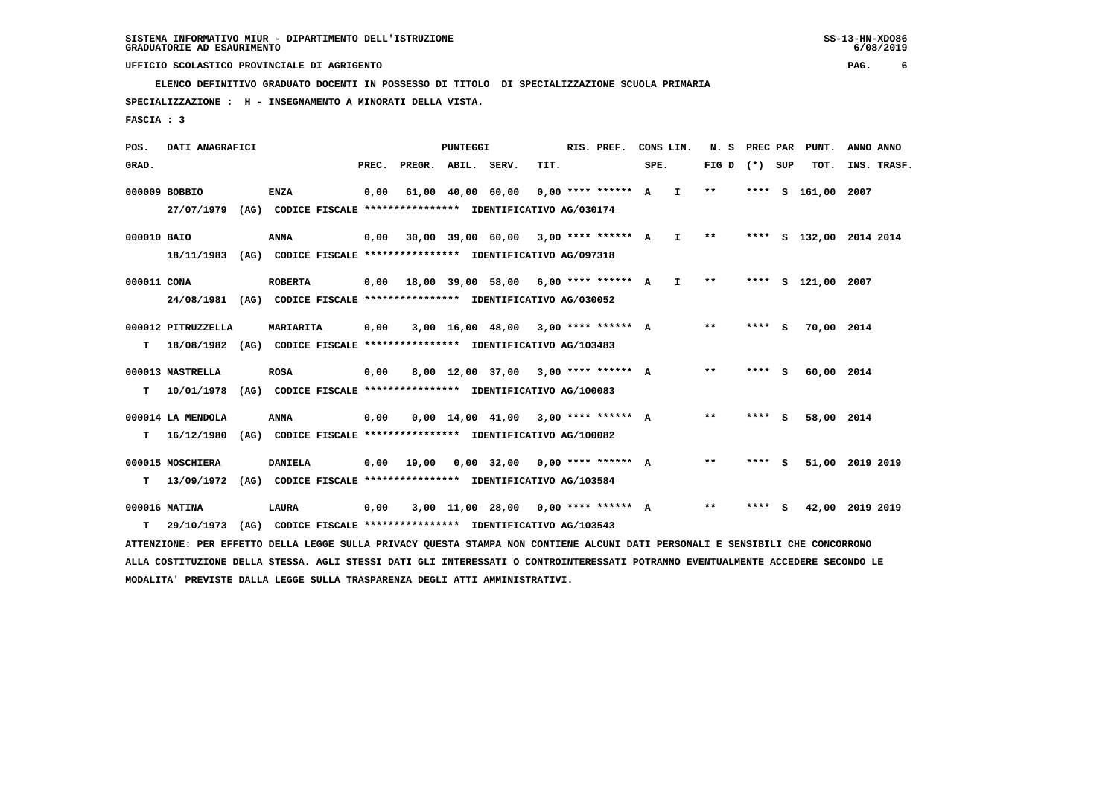**ELENCO DEFINITIVO GRADUATO DOCENTI IN POSSESSO DI TITOLO DI SPECIALIZZAZIONE SCUOLA PRIMARIA**

 **SPECIALIZZAZIONE : H - INSEGNAMENTO A MINORATI DELLA VISTA.**

 **FASCIA : 3**

 **POS. DATI ANAGRAFICI PUNTEGGI RIS. PREF. CONS LIN. N. S PREC PAR PUNT. ANNO ANNO**GRAD. **PREGRADE SERVEGE SERVE SERVE SPEREGE SPEREGALES SPEREGALES SPEREGALES SPEREGALES SPEREGALES SUP TOT. INS. TRASF. 000009 BOBBIO ENZA 0,00 61,00 40,00 60,00 0,00 \*\*\*\* \*\*\*\*\*\* A I \*\* \*\*\*\* S 161,00 2007 27/07/1979 (AG) CODICE FISCALE \*\*\*\*\*\*\*\*\*\*\*\*\*\*\*\* IDENTIFICATIVO AG/030174 000010 BAIO ANNA 0,00 30,00 39,00 60,00 3,00 \*\*\*\* \*\*\*\*\*\* A I \*\* \*\*\*\* S 132,00 2014 2014 18/11/1983 (AG) CODICE FISCALE \*\*\*\*\*\*\*\*\*\*\*\*\*\*\*\* IDENTIFICATIVO AG/097318 000011 CONA ROBERTA 0,00 18,00 39,00 58,00 6,00 \*\*\*\* \*\*\*\*\*\* A I \*\* \*\*\*\* S 121,00 2007 24/08/1981 (AG) CODICE FISCALE \*\*\*\*\*\*\*\*\*\*\*\*\*\*\*\* IDENTIFICATIVO AG/030052 000012 PITRUZZELLA MARIARITA 0,00 3,00 16,00 48,00 3,00 \*\*\*\* \*\*\*\*\*\* A \*\* \*\*\*\* S 70,00 2014 T 18/08/1982 (AG) CODICE FISCALE \*\*\*\*\*\*\*\*\*\*\*\*\*\*\*\* IDENTIFICATIVO AG/103483 000013 MASTRELLA ROSA 0,00 8,00 12,00 37,00 3,00 \*\*\*\* \*\*\*\*\*\* A \*\* \*\*\*\* S 60,00 2014 T 10/01/1978 (AG) CODICE FISCALE \*\*\*\*\*\*\*\*\*\*\*\*\*\*\*\* IDENTIFICATIVO AG/100083 000014 LA MENDOLA ANNA 0,00 0,00 14,00 41,00 3,00 \*\*\*\* \*\*\*\*\*\* A \*\* \*\*\*\* S 58,00 2014 T 16/12/1980 (AG) CODICE FISCALE \*\*\*\*\*\*\*\*\*\*\*\*\*\*\*\* IDENTIFICATIVO AG/100082 000015 MOSCHIERA DANIELA 0,00 19,00 0,00 32,00 0,00 \*\*\*\* \*\*\*\*\*\* A \*\* \*\*\*\* S 51,00 2019 2019 T 13/09/1972 (AG) CODICE FISCALE \*\*\*\*\*\*\*\*\*\*\*\*\*\*\*\* IDENTIFICATIVO AG/103584 000016 MATINA LAURA 0,00 3,00 11,00 28,00 0,00 \*\*\*\* \*\*\*\*\*\* A \*\* \*\*\*\* S 42,00 2019 2019 T 29/10/1973 (AG) CODICE FISCALE \*\*\*\*\*\*\*\*\*\*\*\*\*\*\*\* IDENTIFICATIVO AG/103543 ATTENZIONE: PER EFFETTO DELLA LEGGE SULLA PRIVACY QUESTA STAMPA NON CONTIENE ALCUNI DATI PERSONALI E SENSIBILI CHE CONCORRONO ALLA COSTITUZIONE DELLA STESSA. AGLI STESSI DATI GLI INTERESSATI O CONTROINTERESSATI POTRANNO EVENTUALMENTE ACCEDERE SECONDO LE**

 **MODALITA' PREVISTE DALLA LEGGE SULLA TRASPARENZA DEGLI ATTI AMMINISTRATIVI.**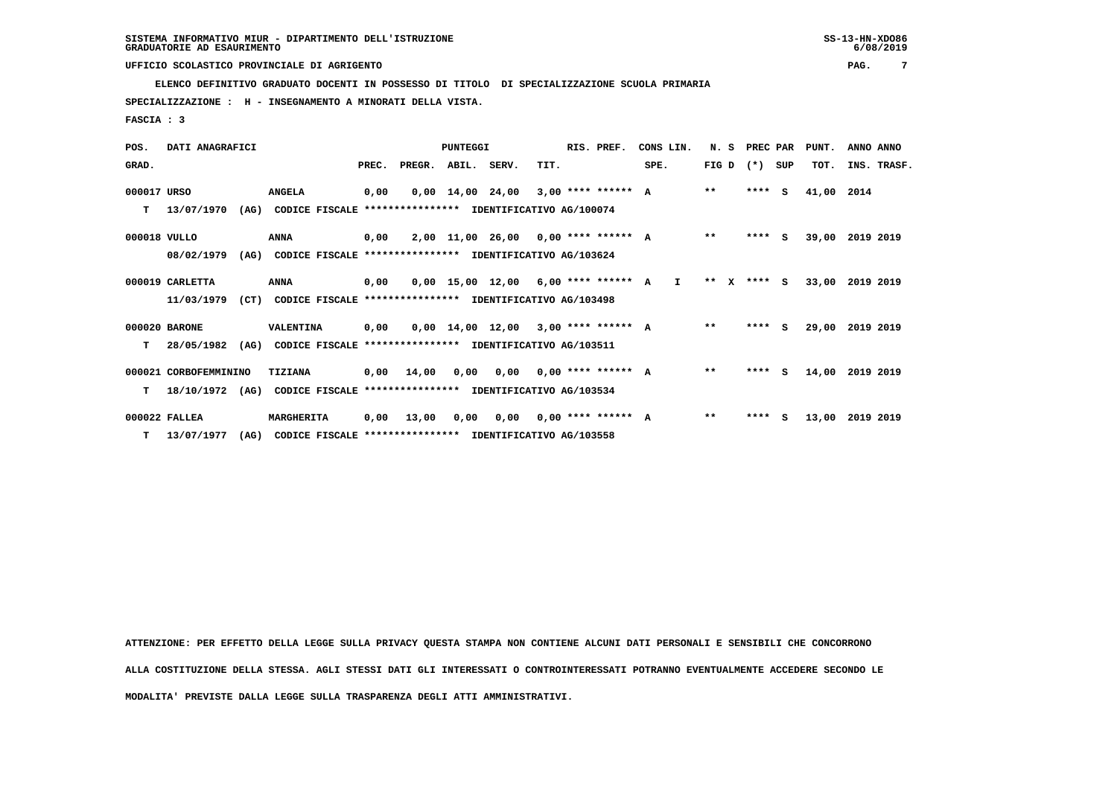**ELENCO DEFINITIVO GRADUATO DOCENTI IN POSSESSO DI TITOLO DI SPECIALIZZAZIONE SCUOLA PRIMARIA**

 **SPECIALIZZAZIONE : H - INSEGNAMENTO A MINORATI DELLA VISTA.**

 **FASCIA : 3**

| POS.         | DATI ANAGRAFICI       |      |                                                          |      |                                           | PUNTEGGI |                                       |      | RIS. PREF. | CONS LIN.    | N. S PREC PAR   |         |   | PUNT. | ANNO ANNO       |
|--------------|-----------------------|------|----------------------------------------------------------|------|-------------------------------------------|----------|---------------------------------------|------|------------|--------------|-----------------|---------|---|-------|-----------------|
| GRAD.        |                       |      |                                                          |      | PREC. PREGR. ABIL. SERV.                  |          |                                       | TIT. |            | SPE.         | FIG D $(*)$ SUP |         |   | TOT.  | INS. TRASF.     |
| 000017 URSO  |                       |      | <b>ANGELA</b>                                            | 0,00 |                                           |          | $0.00$ 14.00 24.00 3.00 **** ****** A |      |            |              | $***$           | $***$ S |   | 41,00 | 2014            |
| т            | 13/07/1970            | (AG) | CODICE FISCALE                                           |      | **************** IDENTIFICATIVO AG/100074 |          |                                       |      |            |              |                 |         |   |       |                 |
| 000018 VULLO |                       |      | <b>ANNA</b>                                              | 0,00 |                                           |          | $2,00$ 11,00 26,00 0,00 **** ****** A |      |            |              | $**$            | $***$ S |   |       | 39,00 2019 2019 |
|              | 08/02/1979            | (AG) | CODICE FISCALE **************** IDENTIFICATIVO AG/103624 |      |                                           |          |                                       |      |            |              |                 |         |   |       |                 |
|              | 000019 CARLETTA       |      | <b>ANNA</b>                                              | 0,00 |                                           |          | $0,00$ 15,00 12,00 6,00 **** ****** A |      |            | $\mathbf{I}$ | $***$ X         | **** S  |   | 33,00 | 2019 2019       |
|              | 11/03/1979            | (CT) | CODICE FISCALE **************** IDENTIFICATIVO AG/103498 |      |                                           |          |                                       |      |            |              |                 |         |   |       |                 |
|              | 000020 BARONE         |      | VALENTINA                                                | 0,00 |                                           |          | $0.00$ 14.00 12.00 3.00 **** ****** A |      |            |              | $* *$           | $***$ S |   | 29,00 | 2019 2019       |
| т            | 28/05/1982            | (AG) | CODICE FISCALE **************** IDENTIFICATIVO AG/103511 |      |                                           |          |                                       |      |            |              |                 |         |   |       |                 |
|              | 000021 CORBOFEMMININO |      | TIZIANA                                                  |      | $0,00$ 14,00                              |          | $0,00$ $0,00$ $0,00$ **** ****** A    |      |            |              | $* *$           | $***5$  |   | 14,00 | 2019 2019       |
| т            | 18/10/1972            | (AG) | CODICE FISCALE                                           |      | **************** IDENTIFICATIVO AG/103534 |          |                                       |      |            |              |                 |         |   |       |                 |
|              | 000022 FALLEA         |      | MARGHERITA                                               | 0.00 | 13,00                                     | 0,00     | 0,00 0,00 **** ****** A               |      |            |              | $***$           | ****    | s |       | 13,00 2019 2019 |
|              | $T = 13/07/1977$      | (AG) | CODICE FISCALE **************** IDENTIFICATIVO AG/103558 |      |                                           |          |                                       |      |            |              |                 |         |   |       |                 |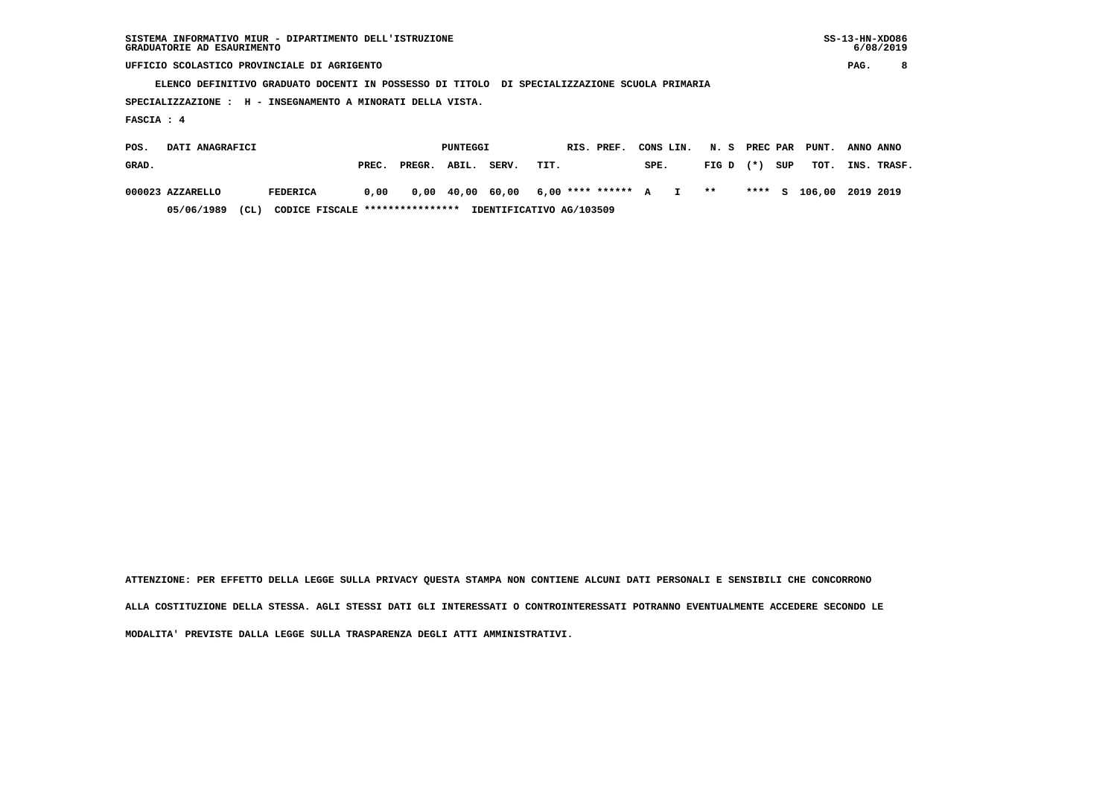**ELENCO DEFINITIVO GRADUATO DOCENTI IN POSSESSO DI TITOLO DI SPECIALIZZAZIONE SCUOLA PRIMARIA**

 **SPECIALIZZAZIONE : H - INSEGNAMENTO A MINORATI DELLA VISTA.**

 **FASCIA : 4**

| POS.  | DATI ANAGRAFICI  |      |                                 |       |              | PUNTEGGI |       | RIS. PREF.                               | CONS LIN. N. S PREC PAR PUNT. |             |     |                         | ANNO ANNO |             |
|-------|------------------|------|---------------------------------|-------|--------------|----------|-------|------------------------------------------|-------------------------------|-------------|-----|-------------------------|-----------|-------------|
| GRAD. |                  |      |                                 | PREC. | PREGR. ABIL. |          | SERV. | TIT.                                     | SPE.                          | $FIG D (*)$ | SUP | тот.                    |           | INS. TRASF. |
|       | 000023 AZZARELLO |      | FEDERICA                        | 0.00  |              |          |       | 0,00 40,00 60,00 6,00 **** ****** A I ** |                               |             |     | **** S 106,00 2019 2019 |           |             |
|       | 05/06/1989       | (CL) | CODICE FISCALE **************** |       |              |          |       | IDENTIFICATIVO AG/103509                 |                               |             |     |                         |           |             |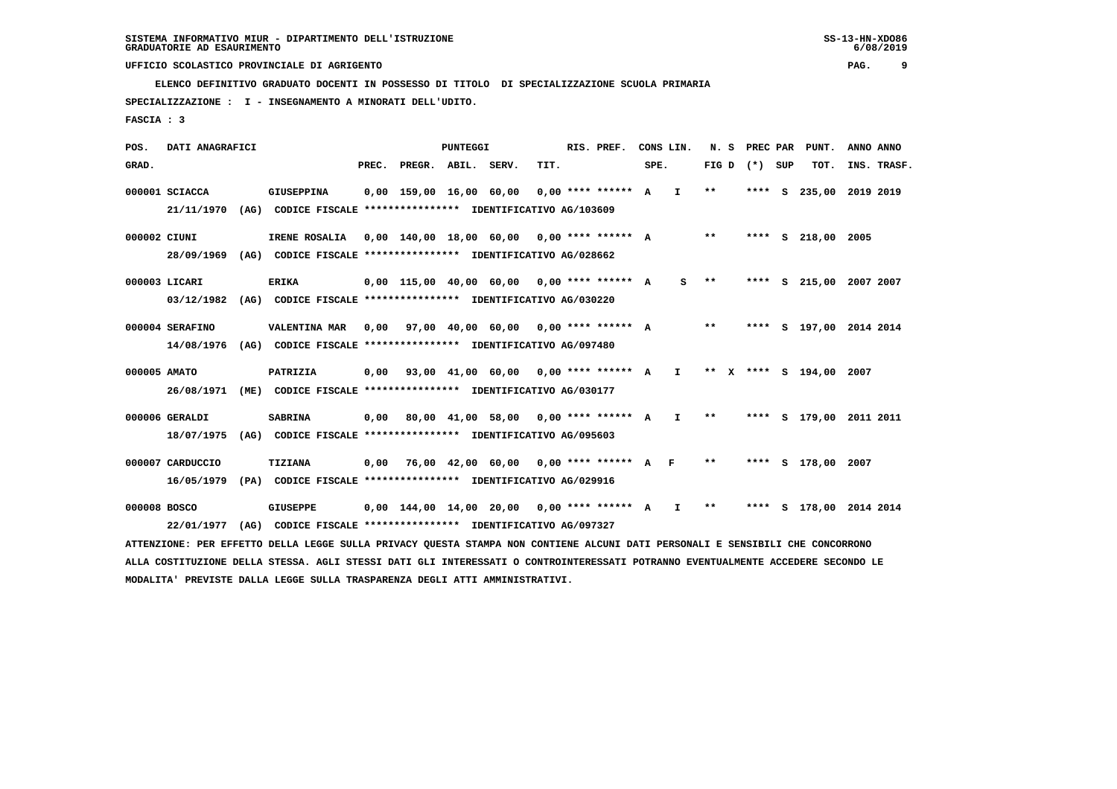**ELENCO DEFINITIVO GRADUATO DOCENTI IN POSSESSO DI TITOLO DI SPECIALIZZAZIONE SCUOLA PRIMARIA**

 **SPECIALIZZAZIONE : I - INSEGNAMENTO A MINORATI DELL'UDITO.**

 **FASCIA : 3**

 **POS. DATI ANAGRAFICI PUNTEGGI RIS. PREF. CONS LIN. N. S PREC PAR PUNT. ANNO ANNO**GRAD. **PREGRADE SERVEGE SERVE SERVE SPEREGE SPEREGALES SPEREGALES SPEREGALES SPEREGALES SPEREGALES SUP TOT. INS. TRASF. 000001 SCIACCA GIUSEPPINA 0,00 159,00 16,00 60,00 0,00 \*\*\*\* \*\*\*\*\*\* A I \*\* \*\*\*\* S 235,00 2019 2019 21/11/1970 (AG) CODICE FISCALE \*\*\*\*\*\*\*\*\*\*\*\*\*\*\*\* IDENTIFICATIVO AG/103609 000002 CIUNI IRENE ROSALIA 0,00 140,00 18,00 60,00 0,00 \*\*\*\* \*\*\*\*\*\* A \*\* \*\*\*\* S 218,00 2005 28/09/1969 (AG) CODICE FISCALE \*\*\*\*\*\*\*\*\*\*\*\*\*\*\*\* IDENTIFICATIVO AG/028662 000003 LICARI ERIKA 0,00 115,00 40,00 60,00 0,00 \*\*\*\* \*\*\*\*\*\* A S \*\* \*\*\*\* S 215,00 2007 2007 03/12/1982 (AG) CODICE FISCALE \*\*\*\*\*\*\*\*\*\*\*\*\*\*\*\* IDENTIFICATIVO AG/030220 000004 SERAFINO VALENTINA MAR 0,00 97,00 40,00 60,00 0,00 \*\*\*\* \*\*\*\*\*\* A \*\* \*\*\*\* S 197,00 2014 2014 14/08/1976 (AG) CODICE FISCALE \*\*\*\*\*\*\*\*\*\*\*\*\*\*\*\* IDENTIFICATIVO AG/097480 000005 AMATO PATRIZIA 0,00 93,00 41,00 60,00 0,00 \*\*\*\* \*\*\*\*\*\* A I \*\* X \*\*\*\* S 194,00 2007 26/08/1971 (ME) CODICE FISCALE \*\*\*\*\*\*\*\*\*\*\*\*\*\*\*\* IDENTIFICATIVO AG/030177 000006 GERALDI SABRINA 0,00 80,00 41,00 58,00 0,00 \*\*\*\* \*\*\*\*\*\* A I \*\* \*\*\*\* S 179,00 2011 2011 18/07/1975 (AG) CODICE FISCALE \*\*\*\*\*\*\*\*\*\*\*\*\*\*\*\* IDENTIFICATIVO AG/095603 000007 CARDUCCIO TIZIANA 0,00 76,00 42,00 60,00 0,00 \*\*\*\* \*\*\*\*\*\* A F \*\* \*\*\*\* S 178,00 2007 16/05/1979 (PA) CODICE FISCALE \*\*\*\*\*\*\*\*\*\*\*\*\*\*\*\* IDENTIFICATIVO AG/029916 000008 BOSCO GIUSEPPE 0,00 144,00 14,00 20,00 0,00 \*\*\*\* \*\*\*\*\*\* A I \*\* \*\*\*\* S 178,00 2014 2014 22/01/1977 (AG) CODICE FISCALE \*\*\*\*\*\*\*\*\*\*\*\*\*\*\*\* IDENTIFICATIVO AG/097327**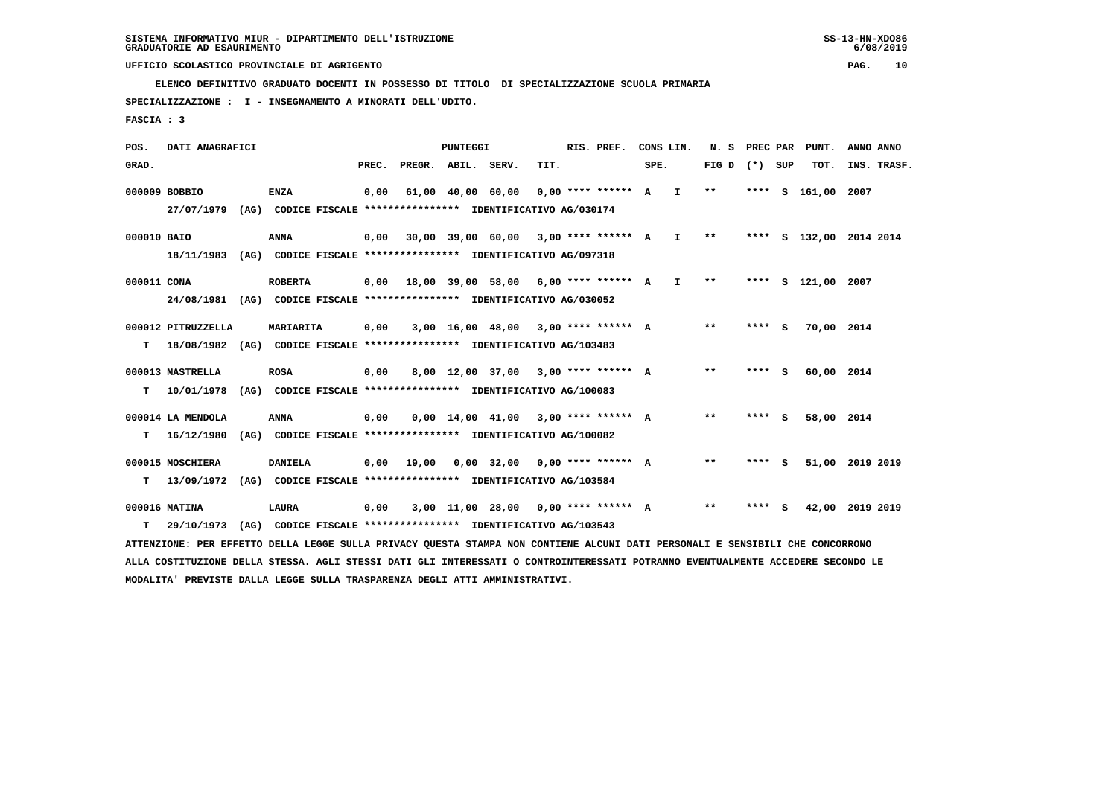**ELENCO DEFINITIVO GRADUATO DOCENTI IN POSSESSO DI TITOLO DI SPECIALIZZAZIONE SCUOLA PRIMARIA**

 **SPECIALIZZAZIONE : I - INSEGNAMENTO A MINORATI DELL'UDITO.**

 **FASCIA : 3**

 **POS. DATI ANAGRAFICI PUNTEGGI RIS. PREF. CONS LIN. N. S PREC PAR PUNT. ANNO ANNO**GRAD. **PREGRADE SERVEGE SERVE SERVE SPEREGE SPEREGALES SPEREGALES SPEREGALES SPEREGALES SPEREGALES SUP TOT. INS. TRASF. 000009 BOBBIO ENZA 0,00 61,00 40,00 60,00 0,00 \*\*\*\* \*\*\*\*\*\* A I \*\* \*\*\*\* S 161,00 2007 27/07/1979 (AG) CODICE FISCALE \*\*\*\*\*\*\*\*\*\*\*\*\*\*\*\* IDENTIFICATIVO AG/030174 000010 BAIO ANNA 0,00 30,00 39,00 60,00 3,00 \*\*\*\* \*\*\*\*\*\* A I \*\* \*\*\*\* S 132,00 2014 2014 18/11/1983 (AG) CODICE FISCALE \*\*\*\*\*\*\*\*\*\*\*\*\*\*\*\* IDENTIFICATIVO AG/097318 000011 CONA ROBERTA 0,00 18,00 39,00 58,00 6,00 \*\*\*\* \*\*\*\*\*\* A I \*\* \*\*\*\* S 121,00 2007 24/08/1981 (AG) CODICE FISCALE \*\*\*\*\*\*\*\*\*\*\*\*\*\*\*\* IDENTIFICATIVO AG/030052 000012 PITRUZZELLA MARIARITA 0,00 3,00 16,00 48,00 3,00 \*\*\*\* \*\*\*\*\*\* A \*\* \*\*\*\* S 70,00 2014 T 18/08/1982 (AG) CODICE FISCALE \*\*\*\*\*\*\*\*\*\*\*\*\*\*\*\* IDENTIFICATIVO AG/103483 000013 MASTRELLA ROSA 0,00 8,00 12,00 37,00 3,00 \*\*\*\* \*\*\*\*\*\* A \*\* \*\*\*\* S 60,00 2014 T 10/01/1978 (AG) CODICE FISCALE \*\*\*\*\*\*\*\*\*\*\*\*\*\*\*\* IDENTIFICATIVO AG/100083 000014 LA MENDOLA ANNA 0,00 0,00 14,00 41,00 3,00 \*\*\*\* \*\*\*\*\*\* A \*\* \*\*\*\* S 58,00 2014 T 16/12/1980 (AG) CODICE FISCALE \*\*\*\*\*\*\*\*\*\*\*\*\*\*\*\* IDENTIFICATIVO AG/100082 000015 MOSCHIERA DANIELA 0,00 19,00 0,00 32,00 0,00 \*\*\*\* \*\*\*\*\*\* A \*\* \*\*\*\* S 51,00 2019 2019 T 13/09/1972 (AG) CODICE FISCALE \*\*\*\*\*\*\*\*\*\*\*\*\*\*\*\* IDENTIFICATIVO AG/103584 000016 MATINA LAURA 0,00 3,00 11,00 28,00 0,00 \*\*\*\* \*\*\*\*\*\* A \*\* \*\*\*\* S 42,00 2019 2019 T 29/10/1973 (AG) CODICE FISCALE \*\*\*\*\*\*\*\*\*\*\*\*\*\*\*\* IDENTIFICATIVO AG/103543 ATTENZIONE: PER EFFETTO DELLA LEGGE SULLA PRIVACY QUESTA STAMPA NON CONTIENE ALCUNI DATI PERSONALI E SENSIBILI CHE CONCORRONO ALLA COSTITUZIONE DELLA STESSA. AGLI STESSI DATI GLI INTERESSATI O CONTROINTERESSATI POTRANNO EVENTUALMENTE ACCEDERE SECONDO LE**

 **MODALITA' PREVISTE DALLA LEGGE SULLA TRASPARENZA DEGLI ATTI AMMINISTRATIVI.**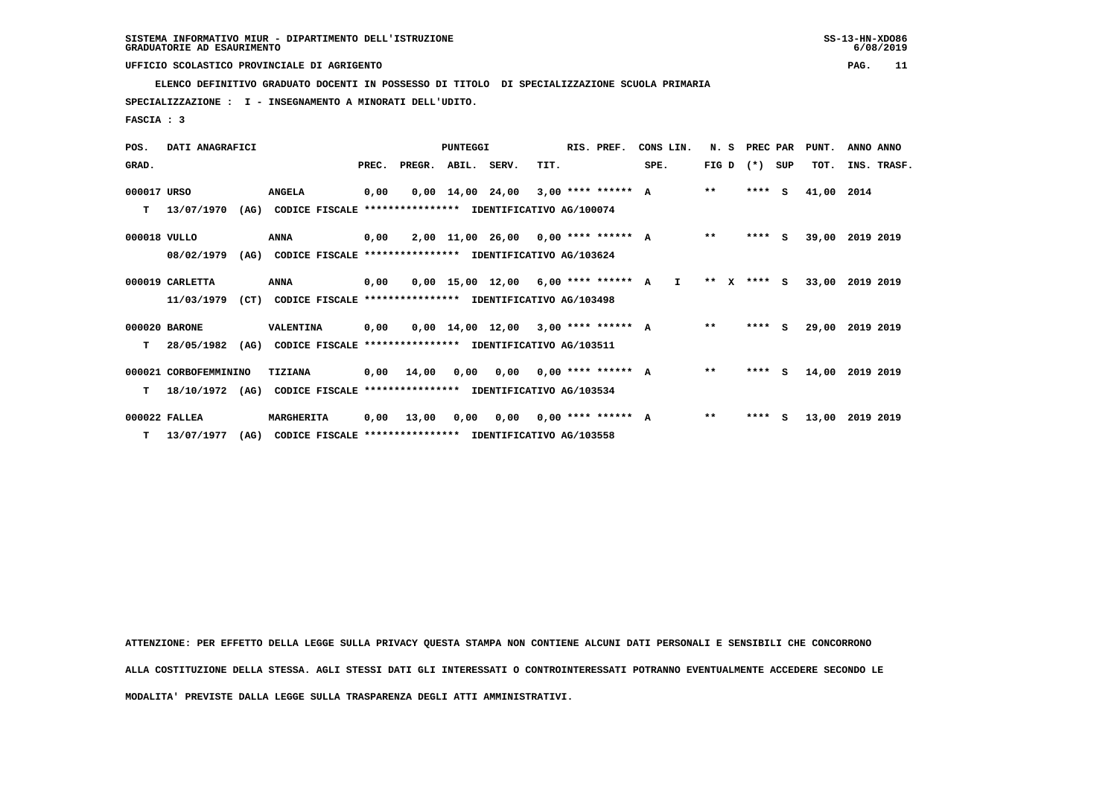**ELENCO DEFINITIVO GRADUATO DOCENTI IN POSSESSO DI TITOLO DI SPECIALIZZAZIONE SCUOLA PRIMARIA**

 **SPECIALIZZAZIONE : I - INSEGNAMENTO A MINORATI DELL'UDITO.**

 **FASCIA : 3**

| POS.         | DATI ANAGRAFICI       |      |                                                          |       |                                           | PUNTEGGI |                                       |      | RIS. PREF.                  | CONS LIN.    | N. S PREC PAR |         |    | PUNT.      | ANNO ANNO       |
|--------------|-----------------------|------|----------------------------------------------------------|-------|-------------------------------------------|----------|---------------------------------------|------|-----------------------------|--------------|---------------|---------|----|------------|-----------------|
| GRAD.        |                       |      |                                                          | PREC. | PREGR. ABIL. SERV.                        |          |                                       | TIT. |                             | SPE.         | FIG D         | (*) SUP |    | TOT.       | INS. TRASF.     |
| 000017 URSO  |                       |      | <b>ANGELA</b>                                            | 0,00  |                                           |          | $0,00$ 14,00 24,00 3,00 **** ****** A |      |                             |              | $* *$         | $***$ S |    | 41,00 2014 |                 |
| т            | 13/07/1970            | (AG) | CODICE FISCALE                                           |       | **************** IDENTIFICATIVO AG/100074 |          |                                       |      |                             |              |               |         |    |            |                 |
| 000018 VULLO |                       |      | <b>ANNA</b>                                              | 0,00  |                                           |          | $2,00$ 11,00 26,00 0,00 **** ****** A |      |                             |              | $\star\star$  | $***$ S |    |            | 39,00 2019 2019 |
|              | 08/02/1979            | (AG) | CODICE FISCALE **************** IDENTIFICATIVO AG/103624 |       |                                           |          |                                       |      |                             |              |               |         |    |            |                 |
|              | 000019 CARLETTA       |      | <b>ANNA</b>                                              | 0,00  |                                           |          | $0,00$ 15,00 12,00 6,00 **** ****** A |      |                             | $\mathbf{I}$ | $***$ X       | $***$ S |    | 33,00      | 2019 2019       |
|              | 11/03/1979            | (CT) | CODICE FISCALE **************** IDENTIFICATIVO AG/103498 |       |                                           |          |                                       |      |                             |              |               |         |    |            |                 |
|              | 000020 BARONE         |      | <b>VALENTINA</b>                                         | 0,00  |                                           |          | $0.00$ 14.00 12.00 3.00 **** ****** A |      |                             |              | $* *$         | $***$ S |    | 29,00      | 2019 2019       |
| т            | 28/05/1982            | (AG) | CODICE FISCALE **************** IDENTIFICATIVO AG/103511 |       |                                           |          |                                       |      |                             |              |               |         |    |            |                 |
|              | 000021 CORBOFEMMININO |      | TIZIANA                                                  |       | 0,00 14,00                                |          | $0,00$ $0,00$ $0,00$ **** ****** A    |      |                             |              | $* *$         | $***$ S |    |            | 14,00 2019 2019 |
| т            | 18/10/1972            | (AG) | CODICE FISCALE **************** IDENTIFICATIVO AG/103534 |       |                                           |          |                                       |      |                             |              |               |         |    |            |                 |
|              | 000022 FALLEA         |      | MARGHERITA                                               | 0,00  | 13,00                                     | 0,00     |                                       |      | $0,00$ $0,00$ **** ****** A |              | $* *$         | ****    | S. | 13,00      | 2019 2019       |
|              | T 13/07/1977          | (AG) | CODICE FISCALE **************** IDENTIFICATIVO AG/103558 |       |                                           |          |                                       |      |                             |              |               |         |    |            |                 |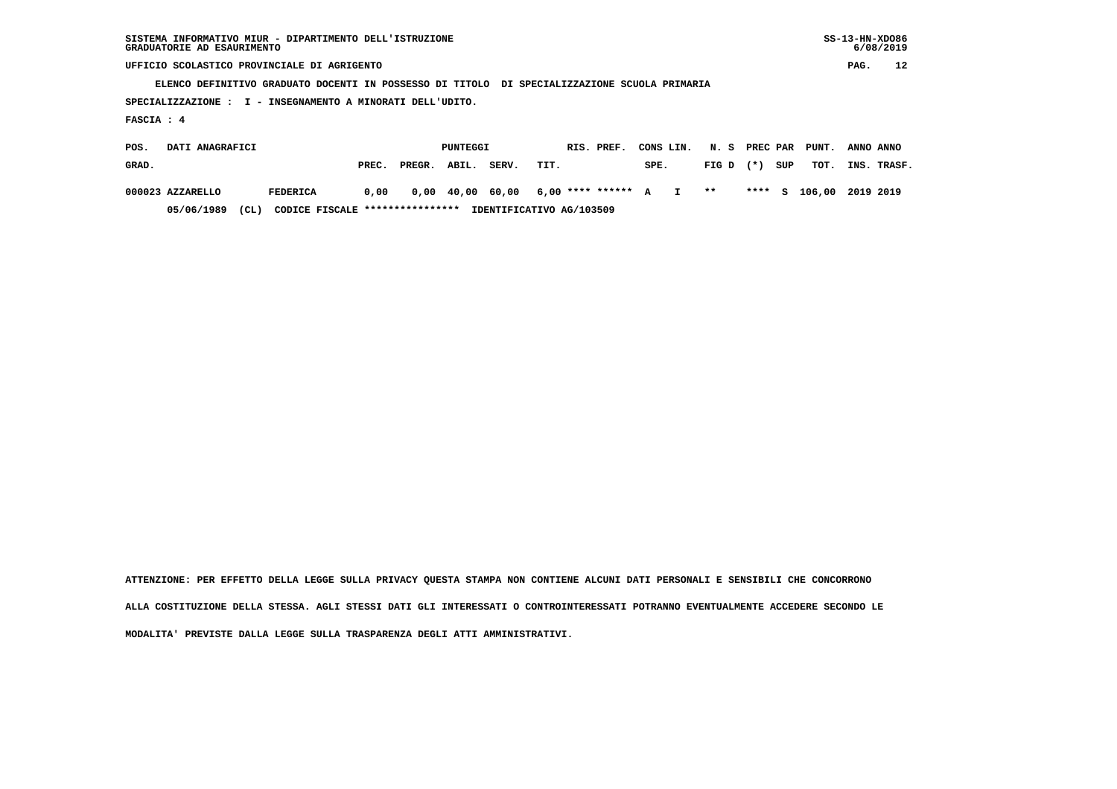| SISTEMA INFORMATIVO MIUR - DIPARTIMENTO DELL'ISTRUZIONE | $SS-13-HN-XDO86$ |
|---------------------------------------------------------|------------------|
| GRADUATORIE AD ESAURIMENTO                              | 6/08/2019        |

 **ELENCO DEFINITIVO GRADUATO DOCENTI IN POSSESSO DI TITOLO DI SPECIALIZZAZIONE SCUOLA PRIMARIA**

 **SPECIALIZZAZIONE : I - INSEGNAMENTO A MINORATI DELL'UDITO.**

 **FASCIA : 4**

| POS.  | DATI ANAGRAFICI  |      |                                 |       |        | PUNTEGGI |       | RIS. PREF.                               | CONS LIN. N. S PREC PAR PUNT. |             |     |                         | ANNO ANNO |             |
|-------|------------------|------|---------------------------------|-------|--------|----------|-------|------------------------------------------|-------------------------------|-------------|-----|-------------------------|-----------|-------------|
| GRAD. |                  |      |                                 | PREC. | PREGR. | ABIL.    | SERV. | TIT.                                     | SPE.                          | $FIG D (*)$ | SUP | тот.                    |           | INS. TRASF. |
|       | 000023 AZZARELLO |      | FEDERICA                        | 0.00  |        |          |       | 0,00 40,00 60,00 6,00 **** ****** A I ** |                               |             |     | **** S 106,00 2019 2019 |           |             |
|       | 05/06/1989       | (CL) | CODICE FISCALE **************** |       |        |          |       | IDENTIFICATIVO AG/103509                 |                               |             |     |                         |           |             |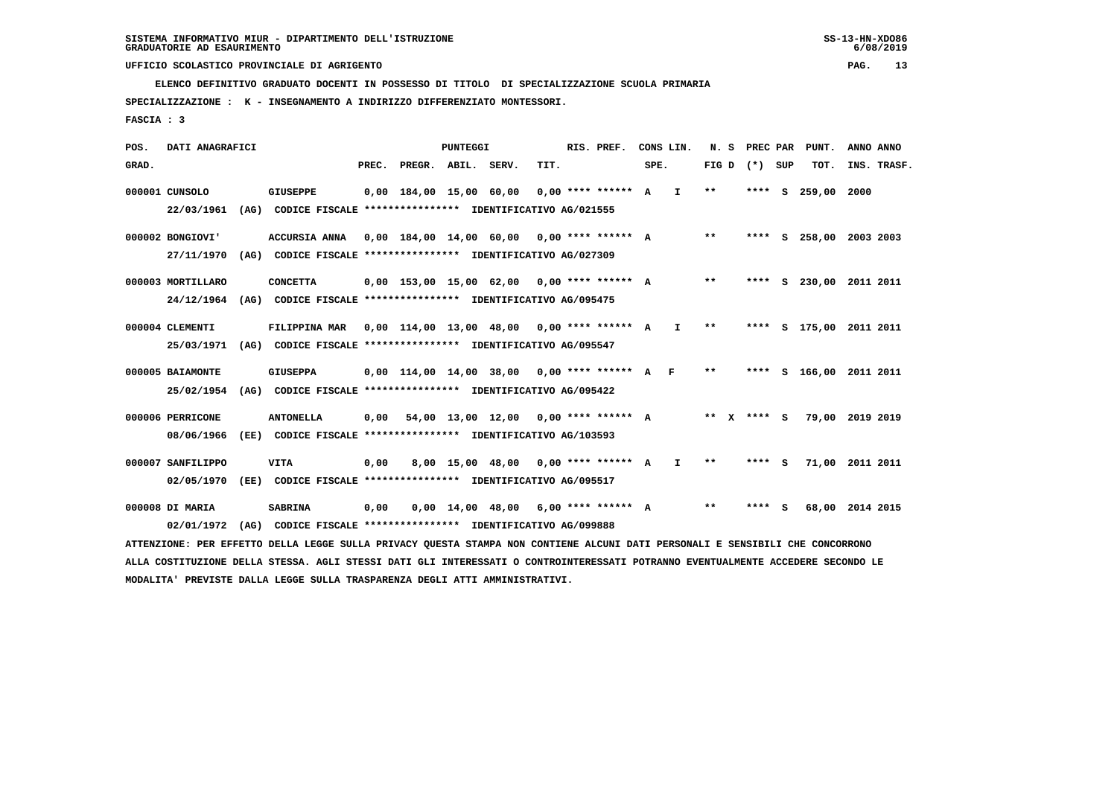**ELENCO DEFINITIVO GRADUATO DOCENTI IN POSSESSO DI TITOLO DI SPECIALIZZAZIONE SCUOLA PRIMARIA**

 **SPECIALIZZAZIONE : K - INSEGNAMENTO A INDIRIZZO DIFFERENZIATO MONTESSORI.**

 **FASCIA : 3**

 **POS. DATI ANAGRAFICI PUNTEGGI RIS. PREF. CONS LIN. N. S PREC PAR PUNT. ANNO ANNO**GRAD. **PREGRADE SERVEGE SERVE SERVE SPEREGE SPEREGALES SPEREGALES SPEREGALES SPEREGALES SPEREGALES SUP TOT. INS. TRASF. 000001 CUNSOLO GIUSEPPE 0,00 184,00 15,00 60,00 0,00 \*\*\*\* \*\*\*\*\*\* A I \*\* \*\*\*\* S 259,00 2000 22/03/1961 (AG) CODICE FISCALE \*\*\*\*\*\*\*\*\*\*\*\*\*\*\*\* IDENTIFICATIVO AG/021555 000002 BONGIOVI' ACCURSIA ANNA 0,00 184,00 14,00 60,00 0,00 \*\*\*\* \*\*\*\*\*\* A \*\* \*\*\*\* S 258,00 2003 2003 27/11/1970 (AG) CODICE FISCALE \*\*\*\*\*\*\*\*\*\*\*\*\*\*\*\* IDENTIFICATIVO AG/027309 000003 MORTILLARO CONCETTA 0,00 153,00 15,00 62,00 0,00 \*\*\*\* \*\*\*\*\*\* A \*\* \*\*\*\* S 230,00 2011 2011 24/12/1964 (AG) CODICE FISCALE \*\*\*\*\*\*\*\*\*\*\*\*\*\*\*\* IDENTIFICATIVO AG/095475 000004 CLEMENTI FILIPPINA MAR 0,00 114,00 13,00 48,00 0,00 \*\*\*\* \*\*\*\*\*\* A I \*\* \*\*\*\* S 175,00 2011 2011 25/03/1971 (AG) CODICE FISCALE \*\*\*\*\*\*\*\*\*\*\*\*\*\*\*\* IDENTIFICATIVO AG/095547 000005 BAIAMONTE GIUSEPPA 0,00 114,00 14,00 38,00 0,00 \*\*\*\* \*\*\*\*\*\* A F \*\* \*\*\*\* S 166,00 2011 2011 25/02/1954 (AG) CODICE FISCALE \*\*\*\*\*\*\*\*\*\*\*\*\*\*\*\* IDENTIFICATIVO AG/095422 000006 PERRICONE ANTONELLA 0,00 54,00 13,00 12,00 0,00 \*\*\*\* \*\*\*\*\*\* A \*\* X \*\*\*\* S 79,00 2019 2019 08/06/1966 (EE) CODICE FISCALE \*\*\*\*\*\*\*\*\*\*\*\*\*\*\*\* IDENTIFICATIVO AG/103593 000007 SANFILIPPO VITA 0,00 8,00 15,00 48,00 0,00 \*\*\*\* \*\*\*\*\*\* A I \*\* \*\*\*\* S 71,00 2011 2011 02/05/1970 (EE) CODICE FISCALE \*\*\*\*\*\*\*\*\*\*\*\*\*\*\*\* IDENTIFICATIVO AG/095517 000008 DI MARIA SABRINA 0,00 0,00 14,00 48,00 6,00 \*\*\*\* \*\*\*\*\*\* A \*\* \*\*\*\* S 68,00 2014 2015 02/01/1972 (AG) CODICE FISCALE \*\*\*\*\*\*\*\*\*\*\*\*\*\*\*\* IDENTIFICATIVO AG/099888 ATTENZIONE: PER EFFETTO DELLA LEGGE SULLA PRIVACY QUESTA STAMPA NON CONTIENE ALCUNI DATI PERSONALI E SENSIBILI CHE CONCORRONO**

 **ALLA COSTITUZIONE DELLA STESSA. AGLI STESSI DATI GLI INTERESSATI O CONTROINTERESSATI POTRANNO EVENTUALMENTE ACCEDERE SECONDO LE MODALITA' PREVISTE DALLA LEGGE SULLA TRASPARENZA DEGLI ATTI AMMINISTRATIVI.**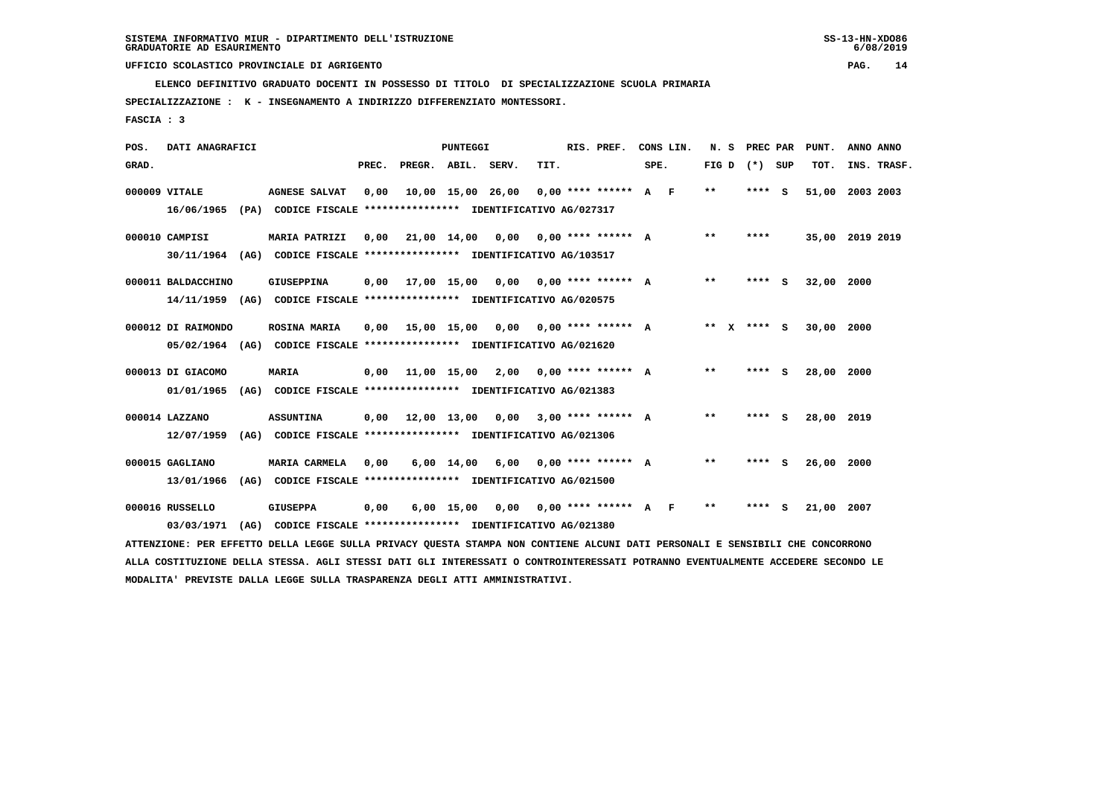**ELENCO DEFINITIVO GRADUATO DOCENTI IN POSSESSO DI TITOLO DI SPECIALIZZAZIONE SCUOLA PRIMARIA**

 **SPECIALIZZAZIONE : K - INSEGNAMENTO A INDIRIZZO DIFFERENZIATO MONTESSORI.**

 **FASCIA : 3**

| POS.  | DATI ANAGRAFICI    |      |                                                                         |       |                                            | PUNTEGGI   |                                          |      | RIS. PREF.           |      | CONS LIN. | N.S             | PREC PAR |     | PUNT.           | ANNO ANNO |             |
|-------|--------------------|------|-------------------------------------------------------------------------|-------|--------------------------------------------|------------|------------------------------------------|------|----------------------|------|-----------|-----------------|----------|-----|-----------------|-----------|-------------|
| GRAD. |                    |      |                                                                         | PREC. | PREGR. ABIL. SERV.                         |            |                                          | TIT. |                      | SPE. |           | FIG D $(*)$ SUP |          |     | TOT.            |           | INS. TRASF. |
|       | 000009 VITALE      |      | <b>AGNESE SALVAT</b>                                                    | 0,00  |                                            |            | $10,00$ 15,00 26,00 0,00 **** ****** A F |      |                      |      |           | $* *$           | $***$ S  |     | 51,00 2003 2003 |           |             |
|       | 16/06/1965         |      | (PA) CODICE FISCALE **************** IDENTIFICATIVO AG/027317           |       |                                            |            |                                          |      |                      |      |           |                 |          |     |                 |           |             |
|       | 000010 CAMPISI     |      | <b>MARIA PATRIZI</b>                                                    | 0.00  | 21,00 14,00 0,00 0,00 **** ****** A        |            |                                          |      |                      |      |           | $* *$           | ****     |     | 35,00 2019 2019 |           |             |
|       |                    |      | 30/11/1964 (AG) CODICE FISCALE *************** IDENTIFICATIVO AG/103517 |       |                                            |            |                                          |      |                      |      |           |                 |          |     |                 |           |             |
|       | 000011 BALDACCHINO |      | GIUSEPPINA                                                              |       | $0.00$ 17.00 15.00 0.00 0.00 **** ****** A |            |                                          |      |                      |      |           | $* *$           | ****     | - S | 32,00           | 2000      |             |
|       |                    |      | 14/11/1959 (AG) CODICE FISCALE *************** IDENTIFICATIVO AG/020575 |       |                                            |            |                                          |      |                      |      |           |                 |          |     |                 |           |             |
|       | 000012 DI RAIMONDO |      | <b>ROSINA MARIA</b>                                                     |       | $0.00$ 15.00 15.00 0.00 0.00 **** ****** A |            |                                          |      |                      |      |           | ** x **** S     |          |     | 30,00 2000      |           |             |
|       |                    |      | 05/02/1964 (AG) CODICE FISCALE *************** IDENTIFICATIVO AG/021620 |       |                                            |            |                                          |      |                      |      |           |                 |          |     |                 |           |             |
|       | 000013 DI GIACOMO  |      | <b>MARIA</b>                                                            |       | $0,00$ 11,00 15,00 2,00 0,00 **** ****** A |            |                                          |      |                      |      |           | $* *$           | **** S   |     | 28,00           | 2000      |             |
|       | 01/01/1965         |      | (AG) CODICE FISCALE **************** IDENTIFICATIVO AG/021383           |       |                                            |            |                                          |      |                      |      |           |                 |          |     |                 |           |             |
|       | 000014 LAZZANO     |      | <b>ASSUNTINA</b>                                                        | 0,00  | 12,00 13,00 0,00 3,00 **** ****** A        |            |                                          |      |                      |      |           | $* *$           | **** S   |     | 28,00 2019      |           |             |
|       | 12/07/1959         | (AG) | CODICE FISCALE **************** IDENTIFICATIVO AG/021306                |       |                                            |            |                                          |      |                      |      |           |                 |          |     |                 |           |             |
|       | 000015 GAGLIANO    |      | MARIA CARMELA                                                           | 0,00  |                                            | 6,00 14,00 | 6,00                                     |      | $0.00$ **** ****** A |      |           | $* *$           | ****     | - S | 26,00           | 2000      |             |
|       | 13/01/1966         |      | (AG) CODICE FISCALE **************** IDENTIFICATIVO AG/021500           |       |                                            |            |                                          |      |                      |      |           |                 |          |     |                 |           |             |
|       | 000016 RUSSELLO    |      | <b>GIUSEPPA</b>                                                         | 0,00  |                                            |            | 6,00 15,00 0,00 0,00 **** ****** A F     |      |                      |      |           | $* *$           | ****     | - 5 | 21,00           | 2007      |             |
|       | 03/03/1971         | (AG) | CODICE FISCALE **************** IDENTIFICATIVO AG/021380                |       |                                            |            |                                          |      |                      |      |           |                 |          |     |                 |           |             |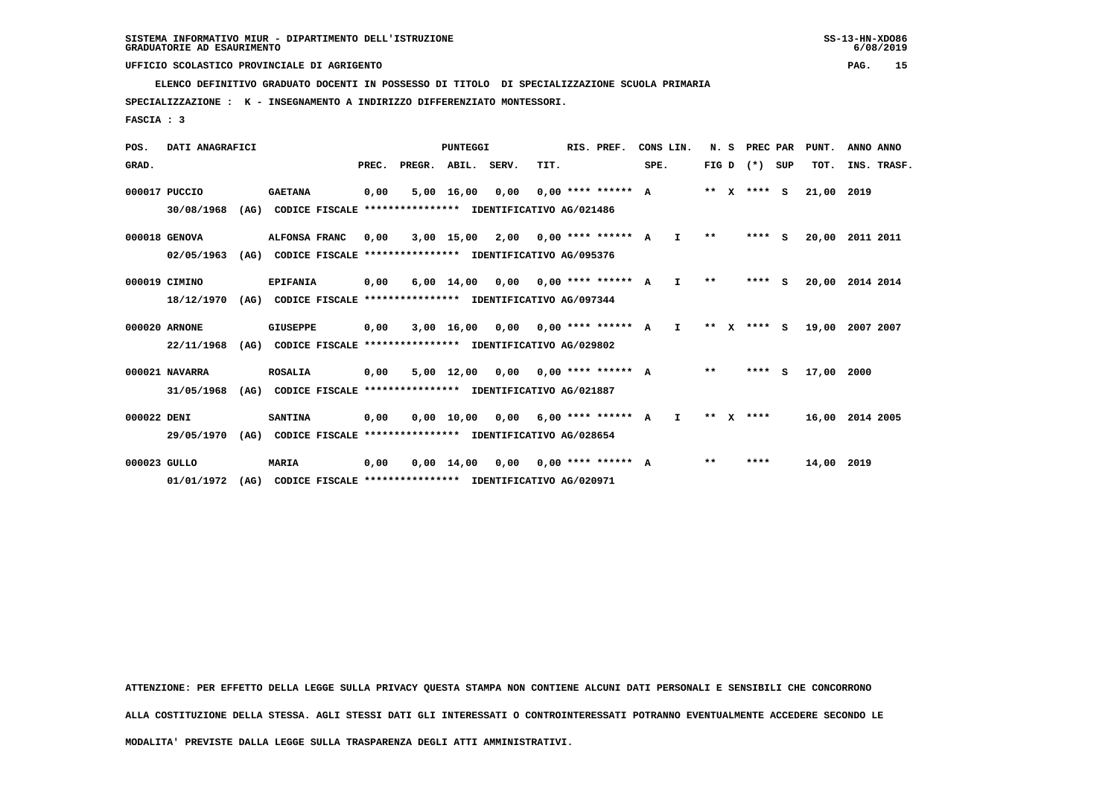**ELENCO DEFINITIVO GRADUATO DOCENTI IN POSSESSO DI TITOLO DI SPECIALIZZAZIONE SCUOLA PRIMARIA**

 **SPECIALIZZAZIONE : K - INSEGNAMENTO A INDIRIZZO DIFFERENZIATO MONTESSORI.**

 **FASCIA : 3**

| POS.         | DATI ANAGRAFICI |      |                                                          |       |                    | PUNTEGGI     |                                      |      | RIS. PREF.                  | CONS LIN. |              | N.S     | PREC PAR      |          | PUNT.      | ANNO ANNO   |  |
|--------------|-----------------|------|----------------------------------------------------------|-------|--------------------|--------------|--------------------------------------|------|-----------------------------|-----------|--------------|---------|---------------|----------|------------|-------------|--|
| GRAD.        |                 |      |                                                          | PREC. | PREGR. ABIL. SERV. |              |                                      | TIT. |                             | SPE.      |              |         | FIG D $(*)$   | SUP      | TOT.       | INS. TRASF. |  |
|              | 000017 PUCCIO   |      | <b>GAETANA</b>                                           | 0,00  |                    | 5,00 16,00   | 0,00                                 |      | $0.00$ **** ****** A        |           |              |         | ** x **** S   |          | 21,00      | 2019        |  |
|              | 30/08/1968      | (AG) | CODICE FISCALE **************** IDENTIFICATIVO AG/021486 |       |                    |              |                                      |      |                             |           |              |         |               |          |            |             |  |
|              | 000018 GENOVA   |      | ALFONSA FRANC                                            | 0.00  |                    |              | $3,00$ 15,00 2,00 0,00 **** ****** A |      |                             |           | $\mathbf{I}$ | $* *$   | $***$ S       |          | 20,00      | 2011 2011   |  |
|              | 02/05/1963      | (AG) | CODICE FISCALE **************** IDENTIFICATIVO AG/095376 |       |                    |              |                                      |      |                             |           |              |         |               |          |            |             |  |
|              | 000019 CIMINO   |      | <b>EPIFANIA</b>                                          | 0,00  |                    |              | 6,00 14,00 0,00 0,00 **** ****** A I |      |                             |           |              | $***$   | $***$ S       |          | 20,00      | 2014 2014   |  |
|              | 18/12/1970      | (AG) | CODICE FISCALE **************** IDENTIFICATIVO AG/097344 |       |                    |              |                                      |      |                             |           |              |         |               |          |            |             |  |
|              | 000020 ARNONE   |      | <b>GIUSEPPE</b>                                          | 0,00  |                    |              | 3,00 16,00 0,00 0,00 **** ****** A I |      |                             |           |              |         | ** $X$ **** S |          | 19,00      | 2007 2007   |  |
|              | 22/11/1968      | (AG) | CODICE FISCALE **************** IDENTIFICATIVO AG/029802 |       |                    |              |                                      |      |                             |           |              |         |               |          |            |             |  |
|              | 000021 NAVARRA  |      | <b>ROSALIA</b>                                           | 0,00  |                    | 5,00 12,00   |                                      |      | $0.00$ $0.00$ **** ****** A |           |              | $***$   | ****          | <b>S</b> | 17,00      | 2000        |  |
|              | 31/05/1968      | (AG) | CODICE FISCALE **************** IDENTIFICATIVO AG/021887 |       |                    |              |                                      |      |                             |           |              |         |               |          |            |             |  |
| 000022 DENI  |                 |      | <b>SANTINA</b>                                           | 0,00  |                    | 0,00 10,00   |                                      |      | $0.00$ 6.00 **** ****** A   |           | I.           | $***$ X | ****          |          | 16,00      | 2014 2005   |  |
|              | 29/05/1970      | (AG) | CODICE FISCALE **************** IDENTIFICATIVO AG/028654 |       |                    |              |                                      |      |                             |           |              |         |               |          |            |             |  |
| 000023 GULLO |                 |      | MARIA                                                    | 0,00  |                    | $0,00$ 14,00 |                                      |      | $0,00$ $0,00$ **** ****** A |           |              | $* *$   | ****          |          | 14,00 2019 |             |  |

 **01/01/1972 (AG) CODICE FISCALE \*\*\*\*\*\*\*\*\*\*\*\*\*\*\*\* IDENTIFICATIVO AG/020971**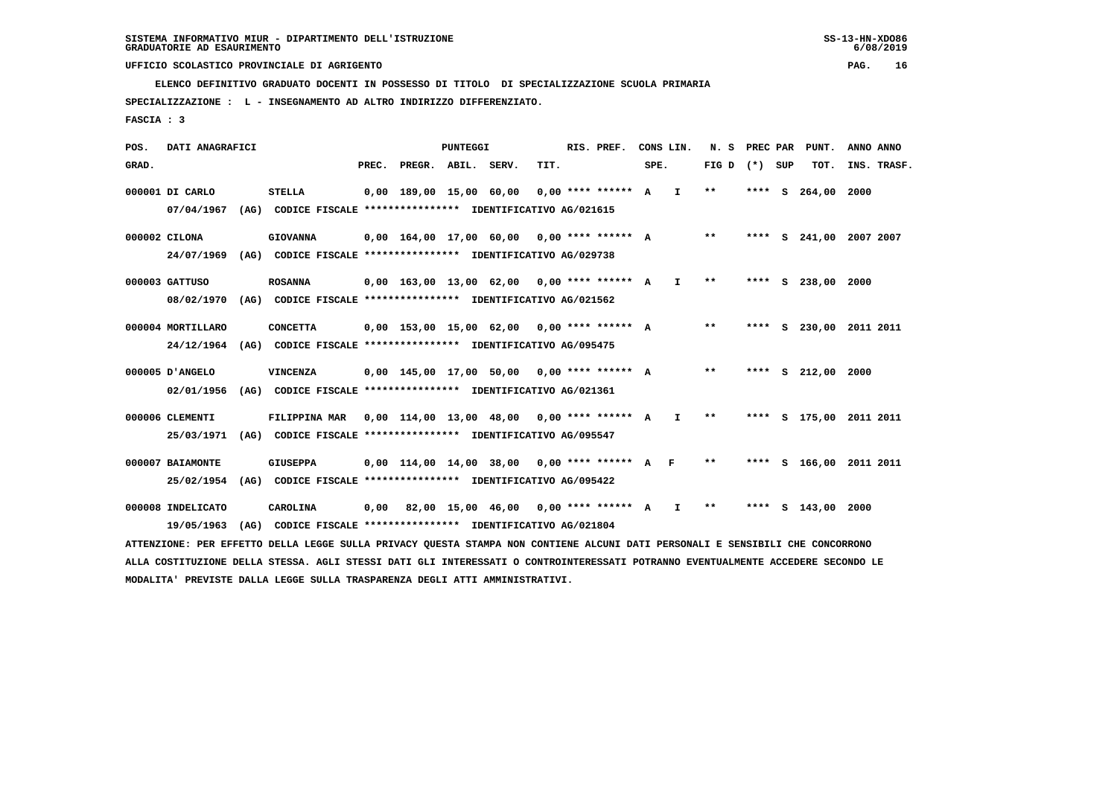**ELENCO DEFINITIVO GRADUATO DOCENTI IN POSSESSO DI TITOLO DI SPECIALIZZAZIONE SCUOLA PRIMARIA**

 **SPECIALIZZAZIONE : L - INSEGNAMENTO AD ALTRO INDIRIZZO DIFFERENZIATO.**

 **FASCIA : 3**

 **POS. DATI ANAGRAFICI PUNTEGGI RIS. PREF. CONS LIN. N. S PREC PAR PUNT. ANNO ANNO**GRAD. **PREGRADE SERVEGE SERVE SERVE SPEREGE SPEREGALES SPEREGALES SPEREGALES SPEREGALES SPEREGALES SUP TOT. INS. TRASF. 000001 DI CARLO STELLA 0,00 189,00 15,00 60,00 0,00 \*\*\*\* \*\*\*\*\*\* A I \*\* \*\*\*\* S 264,00 2000 07/04/1967 (AG) CODICE FISCALE \*\*\*\*\*\*\*\*\*\*\*\*\*\*\*\* IDENTIFICATIVO AG/021615 000002 CILONA GIOVANNA 0,00 164,00 17,00 60,00 0,00 \*\*\*\* \*\*\*\*\*\* A \*\* \*\*\*\* S 241,00 2007 2007 24/07/1969 (AG) CODICE FISCALE \*\*\*\*\*\*\*\*\*\*\*\*\*\*\*\* IDENTIFICATIVO AG/029738 000003 GATTUSO ROSANNA 0,00 163,00 13,00 62,00 0,00 \*\*\*\* \*\*\*\*\*\* A I \*\* \*\*\*\* S 238,00 2000 08/02/1970 (AG) CODICE FISCALE \*\*\*\*\*\*\*\*\*\*\*\*\*\*\*\* IDENTIFICATIVO AG/021562 000004 MORTILLARO CONCETTA 0,00 153,00 15,00 62,00 0,00 \*\*\*\* \*\*\*\*\*\* A \*\* \*\*\*\* S 230,00 2011 2011 24/12/1964 (AG) CODICE FISCALE \*\*\*\*\*\*\*\*\*\*\*\*\*\*\*\* IDENTIFICATIVO AG/095475 000005 D'ANGELO VINCENZA 0,00 145,00 17,00 50,00 0,00 \*\*\*\* \*\*\*\*\*\* A \*\* \*\*\*\* S 212,00 2000 02/01/1956 (AG) CODICE FISCALE \*\*\*\*\*\*\*\*\*\*\*\*\*\*\*\* IDENTIFICATIVO AG/021361 000006 CLEMENTI FILIPPINA MAR 0,00 114,00 13,00 48,00 0,00 \*\*\*\* \*\*\*\*\*\* A I \*\* \*\*\*\* S 175,00 2011 2011 25/03/1971 (AG) CODICE FISCALE \*\*\*\*\*\*\*\*\*\*\*\*\*\*\*\* IDENTIFICATIVO AG/095547 000007 BAIAMONTE GIUSEPPA 0,00 114,00 14,00 38,00 0,00 \*\*\*\* \*\*\*\*\*\* A F \*\* \*\*\*\* S 166,00 2011 2011 25/02/1954 (AG) CODICE FISCALE \*\*\*\*\*\*\*\*\*\*\*\*\*\*\*\* IDENTIFICATIVO AG/095422 000008 INDELICATO CAROLINA 0,00 82,00 15,00 46,00 0,00 \*\*\*\* \*\*\*\*\*\* A I \*\* \*\*\*\* S 143,00 2000 19/05/1963 (AG) CODICE FISCALE \*\*\*\*\*\*\*\*\*\*\*\*\*\*\*\* IDENTIFICATIVO AG/021804**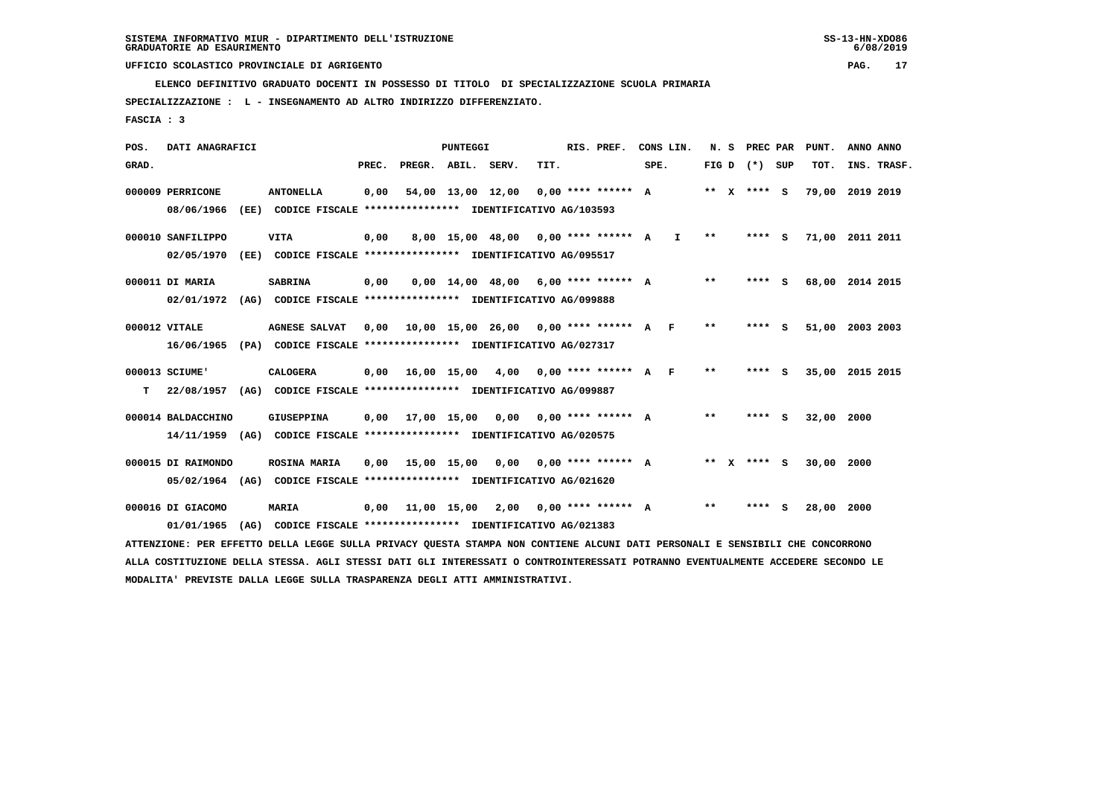**ELENCO DEFINITIVO GRADUATO DOCENTI IN POSSESSO DI TITOLO DI SPECIALIZZAZIONE SCUOLA PRIMARIA**

 **SPECIALIZZAZIONE : L - INSEGNAMENTO AD ALTRO INDIRIZZO DIFFERENZIATO.**

 **FASCIA : 3**

 **POS. DATI ANAGRAFICI PUNTEGGI RIS. PREF. CONS LIN. N. S PREC PAR PUNT. ANNO ANNO**GRAD. **PREGRADE SERVEGE SERVE SERVE SPEREGE SPEREGALES SPEREGALES SPEREGALES SPEREGALES SPEREGALES SUP TOT. INS. TRASF. 000009 PERRICONE ANTONELLA 0,00 54,00 13,00 12,00 0,00 \*\*\*\* \*\*\*\*\*\* A \*\* X \*\*\*\* S 79,00 2019 2019 08/06/1966 (EE) CODICE FISCALE \*\*\*\*\*\*\*\*\*\*\*\*\*\*\*\* IDENTIFICATIVO AG/103593 000010 SANFILIPPO VITA 0,00 8,00 15,00 48,00 0,00 \*\*\*\* \*\*\*\*\*\* A I \*\* \*\*\*\* S 71,00 2011 2011 02/05/1970 (EE) CODICE FISCALE \*\*\*\*\*\*\*\*\*\*\*\*\*\*\*\* IDENTIFICATIVO AG/095517 000011 DI MARIA SABRINA 0,00 0,00 14,00 48,00 6,00 \*\*\*\* \*\*\*\*\*\* A \*\* \*\*\*\* S 68,00 2014 2015 02/01/1972 (AG) CODICE FISCALE \*\*\*\*\*\*\*\*\*\*\*\*\*\*\*\* IDENTIFICATIVO AG/099888 000012 VITALE AGNESE SALVAT 0,00 10,00 15,00 26,00 0,00 \*\*\*\* \*\*\*\*\*\* A F \*\* \*\*\*\* S 51,00 2003 2003 16/06/1965 (PA) CODICE FISCALE \*\*\*\*\*\*\*\*\*\*\*\*\*\*\*\* IDENTIFICATIVO AG/027317 000013 SCIUME' CALOGERA 0,00 16,00 15,00 4,00 0,00 \*\*\*\* \*\*\*\*\*\* A F \*\* \*\*\*\* S 35,00 2015 2015 T 22/08/1957 (AG) CODICE FISCALE \*\*\*\*\*\*\*\*\*\*\*\*\*\*\*\* IDENTIFICATIVO AG/099887 000014 BALDACCHINO GIUSEPPINA 0,00 17,00 15,00 0,00 0,00 \*\*\*\* \*\*\*\*\*\* A \*\* \*\*\*\* S 32,00 2000 14/11/1959 (AG) CODICE FISCALE \*\*\*\*\*\*\*\*\*\*\*\*\*\*\*\* IDENTIFICATIVO AG/020575 000015 DI RAIMONDO ROSINA MARIA 0,00 15,00 15,00 0,00 0,00 \*\*\*\* \*\*\*\*\*\* A \*\* X \*\*\*\* S 30,00 2000 05/02/1964 (AG) CODICE FISCALE \*\*\*\*\*\*\*\*\*\*\*\*\*\*\*\* IDENTIFICATIVO AG/021620 000016 DI GIACOMO MARIA 0,00 11,00 15,00 2,00 0,00 \*\*\*\* \*\*\*\*\*\* A \*\* \*\*\*\* S 28,00 2000 01/01/1965 (AG) CODICE FISCALE \*\*\*\*\*\*\*\*\*\*\*\*\*\*\*\* IDENTIFICATIVO AG/021383 ATTENZIONE: PER EFFETTO DELLA LEGGE SULLA PRIVACY QUESTA STAMPA NON CONTIENE ALCUNI DATI PERSONALI E SENSIBILI CHE CONCORRONO**

 **ALLA COSTITUZIONE DELLA STESSA. AGLI STESSI DATI GLI INTERESSATI O CONTROINTERESSATI POTRANNO EVENTUALMENTE ACCEDERE SECONDO LE MODALITA' PREVISTE DALLA LEGGE SULLA TRASPARENZA DEGLI ATTI AMMINISTRATIVI.**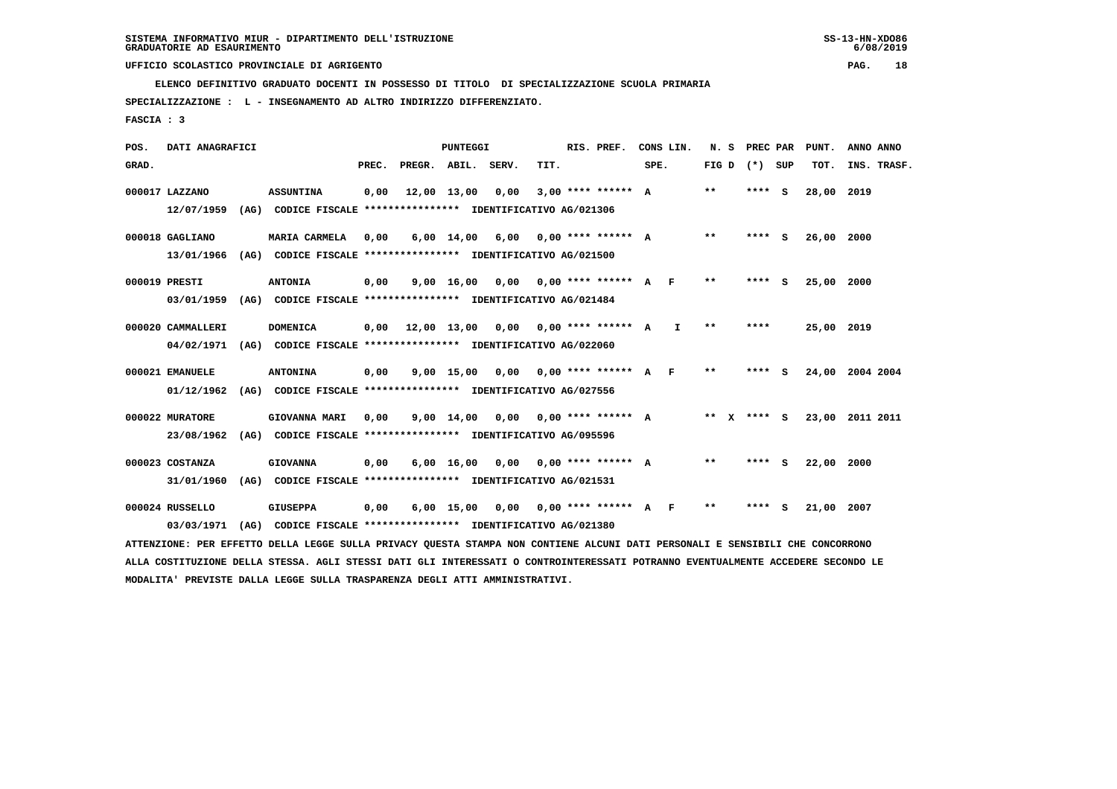**ELENCO DEFINITIVO GRADUATO DOCENTI IN POSSESSO DI TITOLO DI SPECIALIZZAZIONE SCUOLA PRIMARIA**

 **SPECIALIZZAZIONE : L - INSEGNAMENTO AD ALTRO INDIRIZZO DIFFERENZIATO.**

 **FASCIA : 3**

 **POS. DATI ANAGRAFICI PUNTEGGI RIS. PREF. CONS LIN. N. S PREC PAR PUNT. ANNO ANNO**GRAD. **PREGRADE SERVEGE SERVE SERVE SPEREGE SPEREGALES SPEREGALES SPEREGALES SPEREGALES SPEREGALES SUP TOT. INS. TRASF. 000017 LAZZANO ASSUNTINA 0,00 12,00 13,00 0,00 3,00 \*\*\*\* \*\*\*\*\*\* A \*\* \*\*\*\* S 28,00 2019 12/07/1959 (AG) CODICE FISCALE \*\*\*\*\*\*\*\*\*\*\*\*\*\*\*\* IDENTIFICATIVO AG/021306 000018 GAGLIANO MARIA CARMELA 0,00 6,00 14,00 6,00 0,00 \*\*\*\* \*\*\*\*\*\* A \*\* \*\*\*\* S 26,00 2000 13/01/1966 (AG) CODICE FISCALE \*\*\*\*\*\*\*\*\*\*\*\*\*\*\*\* IDENTIFICATIVO AG/021500 000019 PRESTI ANTONIA 0,00 9,00 16,00 0,00 0,00 \*\*\*\* \*\*\*\*\*\* A F \*\* \*\*\*\* S 25,00 2000 03/01/1959 (AG) CODICE FISCALE \*\*\*\*\*\*\*\*\*\*\*\*\*\*\*\* IDENTIFICATIVO AG/021484 000020 CAMMALLERI DOMENICA 0,00 12,00 13,00 0,00 0,00 \*\*\*\* \*\*\*\*\*\* A I \*\* \*\*\*\* 25,00 2019 04/02/1971 (AG) CODICE FISCALE \*\*\*\*\*\*\*\*\*\*\*\*\*\*\*\* IDENTIFICATIVO AG/022060 000021 EMANUELE ANTONINA 0,00 9,00 15,00 0,00 0,00 \*\*\*\* \*\*\*\*\*\* A F \*\* \*\*\*\* S 24,00 2004 2004 01/12/1962 (AG) CODICE FISCALE \*\*\*\*\*\*\*\*\*\*\*\*\*\*\*\* IDENTIFICATIVO AG/027556 000022 MURATORE GIOVANNA MARI 0,00 9,00 14,00 0,00 0,00 \*\*\*\* \*\*\*\*\*\* A \*\* X \*\*\*\* S 23,00 2011 2011 23/08/1962 (AG) CODICE FISCALE \*\*\*\*\*\*\*\*\*\*\*\*\*\*\*\* IDENTIFICATIVO AG/095596 000023 COSTANZA GIOVANNA 0,00 6,00 16,00 0,00 0,00 \*\*\*\* \*\*\*\*\*\* A \*\* \*\*\*\* S 22,00 2000 31/01/1960 (AG) CODICE FISCALE \*\*\*\*\*\*\*\*\*\*\*\*\*\*\*\* IDENTIFICATIVO AG/021531 000024 RUSSELLO GIUSEPPA 0,00 6,00 15,00 0,00 0,00 \*\*\*\* \*\*\*\*\*\* A F \*\* \*\*\*\* S 21,00 2007 03/03/1971 (AG) CODICE FISCALE \*\*\*\*\*\*\*\*\*\*\*\*\*\*\*\* IDENTIFICATIVO AG/021380 ATTENZIONE: PER EFFETTO DELLA LEGGE SULLA PRIVACY QUESTA STAMPA NON CONTIENE ALCUNI DATI PERSONALI E SENSIBILI CHE CONCORRONO**

 **ALLA COSTITUZIONE DELLA STESSA. AGLI STESSI DATI GLI INTERESSATI O CONTROINTERESSATI POTRANNO EVENTUALMENTE ACCEDERE SECONDO LE MODALITA' PREVISTE DALLA LEGGE SULLA TRASPARENZA DEGLI ATTI AMMINISTRATIVI.**